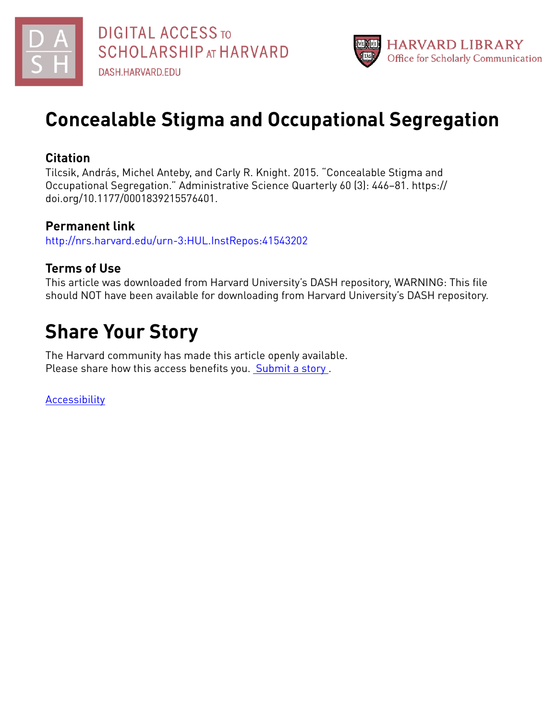



# **Concealable Stigma and Occupational Segregation**

# **Citation**

Tilcsik, András, Michel Anteby, and Carly R. Knight. 2015. "Concealable Stigma and Occupational Segregation." Administrative Science Quarterly 60 (3): 446–81. https:// doi.org/10.1177/0001839215576401.

## **Permanent link**

<http://nrs.harvard.edu/urn-3:HUL.InstRepos:41543202>

# **Terms of Use**

This article was downloaded from Harvard University's DASH repository, WARNING: This file should NOT have been available for downloading from Harvard University's DASH repository.

# **Share Your Story**

The Harvard community has made this article openly available. Please share how this access benefits you. [Submit](http://osc.hul.harvard.edu/dash/open-access-feedback?handle=&title=Concealable%20Stigma%20and%20Occupational%20Segregation&community=1/3345929&collection=1/3345930&owningCollection1/3345930&harvardAuthors=a776ba34fdef8bf34e9980ea3aaacc41&department) a story .

**[Accessibility](https://dash.harvard.edu/pages/accessibility)**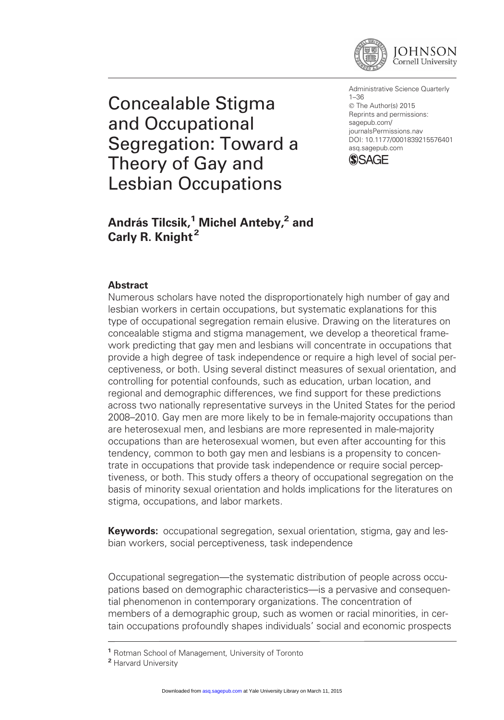

Concealable Stigma and Occupational Segregation: Toward a Theory of Gay and Lesbian Occupations

Administrative Science Quarterly 1–36 © The Author(s) 2015 Reprints and permissions: sagepub.com/ journalsPermissions.nav DOI: 10.1177/0001839215576401 asq.sagepub.com



## András Tilcsik,<sup>1</sup> Michel Anteby,<sup>2</sup> and Carly R. Knight<sup>2</sup>

## **Abstract**

Numerous scholars have noted the disproportionately high number of gay and lesbian workers in certain occupations, but systematic explanations for this type of occupational segregation remain elusive. Drawing on the literatures on concealable stigma and stigma management, we develop a theoretical framework predicting that gay men and lesbians will concentrate in occupations that provide a high degree of task independence or require a high level of social perceptiveness, or both. Using several distinct measures of sexual orientation, and controlling for potential confounds, such as education, urban location, and regional and demographic differences, we find support for these predictions across two nationally representative surveys in the United States for the period 2008–2010. Gay men are more likely to be in female-majority occupations than are heterosexual men, and lesbians are more represented in male-majority occupations than are heterosexual women, but even after accounting for this tendency, common to both gay men and lesbians is a propensity to concentrate in occupations that provide task independence or require social perceptiveness, or both. This study offers a theory of occupational segregation on the basis of minority sexual orientation and holds implications for the literatures on stigma, occupations, and labor markets.

Keywords: occupational segregation, sexual orientation, stigma, gay and lesbian workers, social perceptiveness, task independence

Occupational segregation—the systematic distribution of people across occupations based on demographic characteristics—is a pervasive and consequential phenomenon in contemporary organizations. The concentration of members of a demographic group, such as women or racial minorities, in certain occupations profoundly shapes individuals' social and economic prospects

<sup>&</sup>lt;sup>1</sup> Rotman School of Management, University of Toronto

<sup>&</sup>lt;sup>2</sup> Harvard University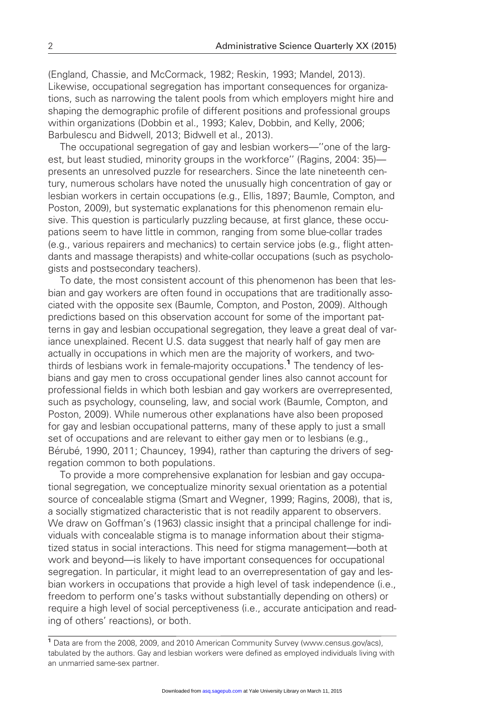(England, Chassie, and McCormack, 1982; Reskin, 1993; Mandel, 2013). Likewise, occupational segregation has important consequences for organizations, such as narrowing the talent pools from which employers might hire and shaping the demographic profile of different positions and professional groups within organizations (Dobbin et al., 1993; Kalev, Dobbin, and Kelly, 2006; Barbulescu and Bidwell, 2013; Bidwell et al., 2013).

The occupational segregation of gay and lesbian workers—''one of the largest, but least studied, minority groups in the workforce'' (Ragins, 2004: 35) presents an unresolved puzzle for researchers. Since the late nineteenth century, numerous scholars have noted the unusually high concentration of gay or lesbian workers in certain occupations (e.g., Ellis, 1897; Baumle, Compton, and Poston, 2009), but systematic explanations for this phenomenon remain elusive. This question is particularly puzzling because, at first glance, these occupations seem to have little in common, ranging from some blue-collar trades (e.g., various repairers and mechanics) to certain service jobs (e.g., flight attendants and massage therapists) and white-collar occupations (such as psychologists and postsecondary teachers).

To date, the most consistent account of this phenomenon has been that lesbian and gay workers are often found in occupations that are traditionally associated with the opposite sex (Baumle, Compton, and Poston, 2009). Although predictions based on this observation account for some of the important patterns in gay and lesbian occupational segregation, they leave a great deal of variance unexplained. Recent U.S. data suggest that nearly half of gay men are actually in occupations in which men are the majority of workers, and twothirds of lesbians work in female-majority occupations.<sup>1</sup> The tendency of lesbians and gay men to cross occupational gender lines also cannot account for professional fields in which both lesbian and gay workers are overrepresented, such as psychology, counseling, law, and social work (Baumle, Compton, and Poston, 2009). While numerous other explanations have also been proposed for gay and lesbian occupational patterns, many of these apply to just a small set of occupations and are relevant to either gay men or to lesbians (e.g., Bérubé, 1990, 2011; Chauncey, 1994), rather than capturing the drivers of segregation common to both populations.

To provide a more comprehensive explanation for lesbian and gay occupational segregation, we conceptualize minority sexual orientation as a potential source of concealable stigma (Smart and Wegner, 1999; Ragins, 2008), that is, a socially stigmatized characteristic that is not readily apparent to observers. We draw on Goffman's (1963) classic insight that a principal challenge for individuals with concealable stigma is to manage information about their stigmatized status in social interactions. This need for stigma management—both at work and beyond—is likely to have important consequences for occupational segregation. In particular, it might lead to an overrepresentation of gay and lesbian workers in occupations that provide a high level of task independence (i.e., freedom to perform one's tasks without substantially depending on others) or require a high level of social perceptiveness (i.e., accurate anticipation and reading of others' reactions), or both.

<sup>1</sup> Data are from the 2008, 2009, and 2010 American Community Survey (www.census.gov/acs), tabulated by the authors. Gay and lesbian workers were defined as employed individuals living with an unmarried same-sex partner.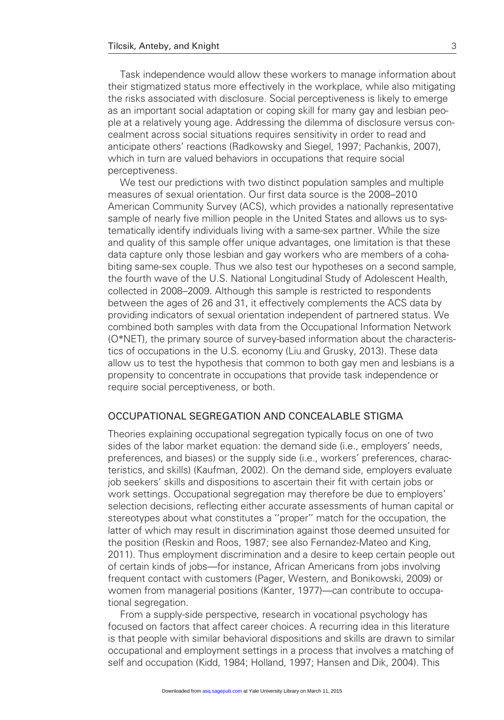Task independence would allow these workers to manage information about their stigmatized status more effectively in the workplace, while also mitigating the risks associated with disclosure. Social perceptiveness is likely to emerge as an important social adaptation or coping skill for many gay and lesbian people at a relatively young age. Addressing the dilemma of disclosure versus concealment across social situations requires sensitivity in order to read and anticipate others' reactions (Radkowsky and Siegel, 1997; Pachankis, 2007), which in turn are valued behaviors in occupations that require social perceptiveness.

We test our predictions with two distinct population samples and multiple measures of sexual orientation. Our first data source is the 2008–2010 American Community Survey (ACS), which provides a nationally representative sample of nearly five million people in the United States and allows us to systematically identify individuals living with a same-sex partner. While the size and quality of this sample offer unique advantages, one limitation is that these data capture only those lesbian and gay workers who are members of a cohabiting same-sex couple. Thus we also test our hypotheses on a second sample, the fourth wave of the U.S. National Longitudinal Study of Adolescent Health, collected in 2008–2009. Although this sample is restricted to respondents between the ages of 26 and 31, it effectively complements the ACS data by providing indicators of sexual orientation independent of partnered status. We combined both samples with data from the Occupational Information Network (O\*NET), the primary source of survey-based information about the characteristics of occupations in the U.S. economy (Liu and Grusky, 2013). These data allow us to test the hypothesis that common to both gay men and lesbians is a propensity to concentrate in occupations that provide task independence or require social perceptiveness, or both.

## OCCUPATIONAL SEGREGATION AND CONCEALABLE STIGMA

Theories explaining occupational segregation typically focus on one of two sides of the labor market equation: the demand side (i.e., employers' needs, preferences, and biases) or the supply side (i.e., workers' preferences, characteristics, and skills) (Kaufman, 2002). On the demand side, employers evaluate job seekers' skills and dispositions to ascertain their fit with certain jobs or work settings. Occupational segregation may therefore be due to employers' selection decisions, reflecting either accurate assessments of human capital or stereotypes about what constitutes a ''proper'' match for the occupation, the latter of which may result in discrimination against those deemed unsuited for the position (Reskin and Roos, 1987; see also Fernandez-Mateo and King, 2011). Thus employment discrimination and a desire to keep certain people out of certain kinds of jobs—for instance, African Americans from jobs involving frequent contact with customers (Pager, Western, and Bonikowski, 2009) or women from managerial positions (Kanter, 1977)—can contribute to occupational segregation.

From a supply-side perspective, research in vocational psychology has focused on factors that affect career choices. A recurring idea in this literature is that people with similar behavioral dispositions and skills are drawn to similar occupational and employment settings in a process that involves a matching of self and occupation (Kidd, 1984; Holland, 1997; Hansen and Dik, 2004). This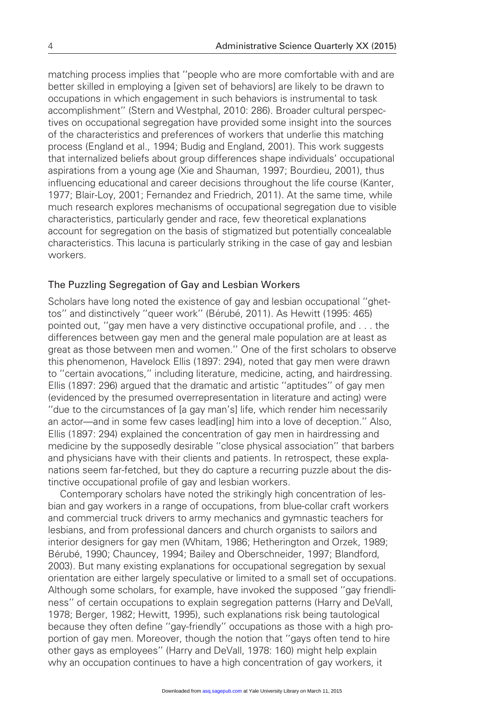matching process implies that ''people who are more comfortable with and are better skilled in employing a [given set of behaviors] are likely to be drawn to occupations in which engagement in such behaviors is instrumental to task accomplishment'' (Stern and Westphal, 2010: 286). Broader cultural perspectives on occupational segregation have provided some insight into the sources of the characteristics and preferences of workers that underlie this matching process (England et al., 1994; Budig and England, 2001). This work suggests that internalized beliefs about group differences shape individuals' occupational aspirations from a young age (Xie and Shauman, 1997; Bourdieu, 2001), thus influencing educational and career decisions throughout the life course (Kanter, 1977; Blair-Loy, 2001; Fernandez and Friedrich, 2011). At the same time, while much research explores mechanisms of occupational segregation due to visible characteristics, particularly gender and race, few theoretical explanations account for segregation on the basis of stigmatized but potentially concealable characteristics. This lacuna is particularly striking in the case of gay and lesbian workers.

## The Puzzling Segregation of Gay and Lesbian Workers

Scholars have long noted the existence of gay and lesbian occupational ''ghettos" and distinctively "queer work" (Bérubé, 2011). As Hewitt (1995: 465) pointed out, ''gay men have a very distinctive occupational profile, and . . . the differences between gay men and the general male population are at least as great as those between men and women.'' One of the first scholars to observe this phenomenon, Havelock Ellis (1897: 294), noted that gay men were drawn to ''certain avocations,'' including literature, medicine, acting, and hairdressing. Ellis (1897: 296) argued that the dramatic and artistic ''aptitudes'' of gay men (evidenced by the presumed overrepresentation in literature and acting) were ''due to the circumstances of [a gay man's] life, which render him necessarily an actor—and in some few cases lead[ing] him into a love of deception.'' Also, Ellis (1897: 294) explained the concentration of gay men in hairdressing and medicine by the supposedly desirable ''close physical association'' that barbers and physicians have with their clients and patients. In retrospect, these explanations seem far-fetched, but they do capture a recurring puzzle about the distinctive occupational profile of gay and lesbian workers.

Contemporary scholars have noted the strikingly high concentration of lesbian and gay workers in a range of occupations, from blue-collar craft workers and commercial truck drivers to army mechanics and gymnastic teachers for lesbians, and from professional dancers and church organists to sailors and interior designers for gay men (Whitam, 1986; Hetherington and Orzek, 1989; Bérubé, 1990; Chauncey, 1994; Bailey and Oberschneider, 1997; Blandford, 2003). But many existing explanations for occupational segregation by sexual orientation are either largely speculative or limited to a small set of occupations. Although some scholars, for example, have invoked the supposed ''gay friendliness'' of certain occupations to explain segregation patterns (Harry and DeVall, 1978; Berger, 1982; Hewitt, 1995), such explanations risk being tautological because they often define ''gay-friendly'' occupations as those with a high proportion of gay men. Moreover, though the notion that ''gays often tend to hire other gays as employees'' (Harry and DeVall, 1978: 160) might help explain why an occupation continues to have a high concentration of gay workers, it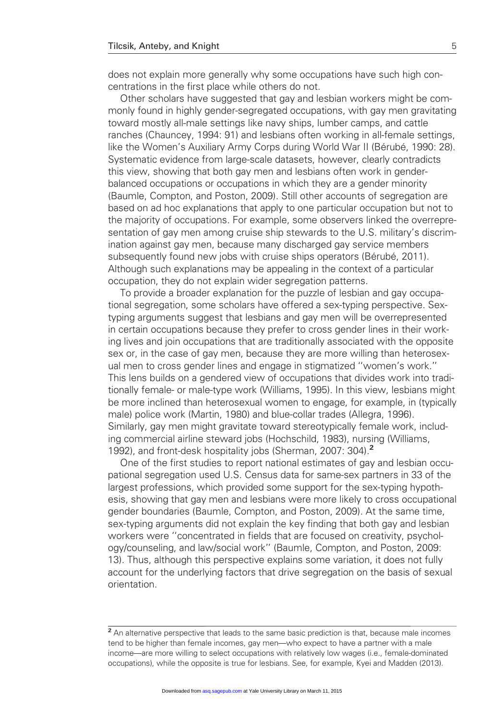does not explain more generally why some occupations have such high concentrations in the first place while others do not.

Other scholars have suggested that gay and lesbian workers might be commonly found in highly gender-segregated occupations, with gay men gravitating toward mostly all-male settings like navy ships, lumber camps, and cattle ranches (Chauncey, 1994: 91) and lesbians often working in all-female settings, like the Women's Auxiliary Army Corps during World War II (Bérubé, 1990: 28). Systematic evidence from large-scale datasets, however, clearly contradicts this view, showing that both gay men and lesbians often work in genderbalanced occupations or occupations in which they are a gender minority (Baumle, Compton, and Poston, 2009). Still other accounts of segregation are based on ad hoc explanations that apply to one particular occupation but not to the majority of occupations. For example, some observers linked the overrepresentation of gay men among cruise ship stewards to the U.S. military's discrimination against gay men, because many discharged gay service members subsequently found new jobs with cruise ships operators (Bérubé, 2011). Although such explanations may be appealing in the context of a particular occupation, they do not explain wider segregation patterns.

To provide a broader explanation for the puzzle of lesbian and gay occupational segregation, some scholars have offered a sex-typing perspective. Sextyping arguments suggest that lesbians and gay men will be overrepresented in certain occupations because they prefer to cross gender lines in their working lives and join occupations that are traditionally associated with the opposite sex or, in the case of gay men, because they are more willing than heterosexual men to cross gender lines and engage in stigmatized ''women's work.'' This lens builds on a gendered view of occupations that divides work into traditionally female- or male-type work (Williams, 1995). In this view, lesbians might be more inclined than heterosexual women to engage, for example, in (typically male) police work (Martin, 1980) and blue-collar trades (Allegra, 1996). Similarly, gay men might gravitate toward stereotypically female work, including commercial airline steward jobs (Hochschild, 1983), nursing (Williams, 1992), and front-desk hospitality jobs (Sherman, 2007: 304).<sup>2</sup>

One of the first studies to report national estimates of gay and lesbian occupational segregation used U.S. Census data for same-sex partners in 33 of the largest professions, which provided some support for the sex-typing hypothesis, showing that gay men and lesbians were more likely to cross occupational gender boundaries (Baumle, Compton, and Poston, 2009). At the same time, sex-typing arguments did not explain the key finding that both gay and lesbian workers were ''concentrated in fields that are focused on creativity, psychology/counseling, and law/social work'' (Baumle, Compton, and Poston, 2009: 13). Thus, although this perspective explains some variation, it does not fully account for the underlying factors that drive segregation on the basis of sexual orientation.

<sup>&</sup>lt;sup>2</sup> An alternative perspective that leads to the same basic prediction is that, because male incomes tend to be higher than female incomes, gay men—who expect to have a partner with a male income—are more willing to select occupations with relatively low wages (i.e., female-dominated occupations), while the opposite is true for lesbians. See, for example, Kyei and Madden (2013).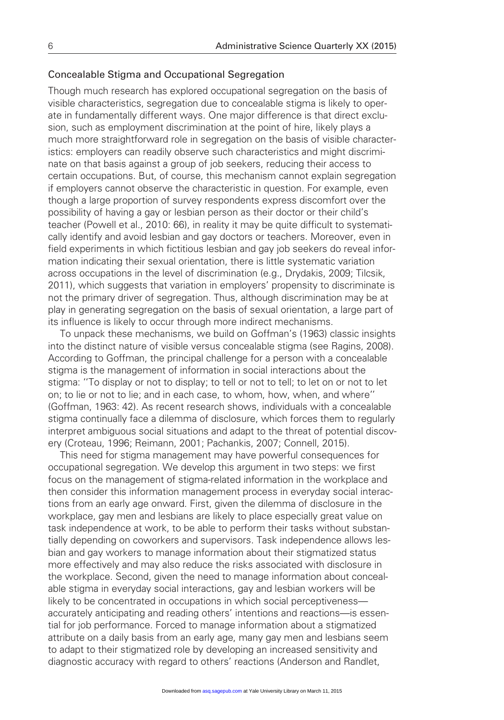## Concealable Stigma and Occupational Segregation

Though much research has explored occupational segregation on the basis of visible characteristics, segregation due to concealable stigma is likely to operate in fundamentally different ways. One major difference is that direct exclusion, such as employment discrimination at the point of hire, likely plays a much more straightforward role in segregation on the basis of visible characteristics: employers can readily observe such characteristics and might discriminate on that basis against a group of job seekers, reducing their access to certain occupations. But, of course, this mechanism cannot explain segregation if employers cannot observe the characteristic in question. For example, even though a large proportion of survey respondents express discomfort over the possibility of having a gay or lesbian person as their doctor or their child's teacher (Powell et al., 2010: 66), in reality it may be quite difficult to systematically identify and avoid lesbian and gay doctors or teachers. Moreover, even in field experiments in which fictitious lesbian and gay job seekers do reveal information indicating their sexual orientation, there is little systematic variation across occupations in the level of discrimination (e.g., Drydakis, 2009; Tilcsik, 2011), which suggests that variation in employers' propensity to discriminate is not the primary driver of segregation. Thus, although discrimination may be at play in generating segregation on the basis of sexual orientation, a large part of its influence is likely to occur through more indirect mechanisms.

To unpack these mechanisms, we build on Goffman's (1963) classic insights into the distinct nature of visible versus concealable stigma (see Ragins, 2008). According to Goffman, the principal challenge for a person with a concealable stigma is the management of information in social interactions about the stigma: ''To display or not to display; to tell or not to tell; to let on or not to let on; to lie or not to lie; and in each case, to whom, how, when, and where'' (Goffman, 1963: 42). As recent research shows, individuals with a concealable stigma continually face a dilemma of disclosure, which forces them to regularly interpret ambiguous social situations and adapt to the threat of potential discovery (Croteau, 1996; Reimann, 2001; Pachankis, 2007; Connell, 2015).

This need for stigma management may have powerful consequences for occupational segregation. We develop this argument in two steps: we first focus on the management of stigma-related information in the workplace and then consider this information management process in everyday social interactions from an early age onward. First, given the dilemma of disclosure in the workplace, gay men and lesbians are likely to place especially great value on task independence at work, to be able to perform their tasks without substantially depending on coworkers and supervisors. Task independence allows lesbian and gay workers to manage information about their stigmatized status more effectively and may also reduce the risks associated with disclosure in the workplace. Second, given the need to manage information about concealable stigma in everyday social interactions, gay and lesbian workers will be likely to be concentrated in occupations in which social perceptiveness accurately anticipating and reading others' intentions and reactions—is essential for job performance. Forced to manage information about a stigmatized attribute on a daily basis from an early age, many gay men and lesbians seem to adapt to their stigmatized role by developing an increased sensitivity and diagnostic accuracy with regard to others' reactions (Anderson and Randlet,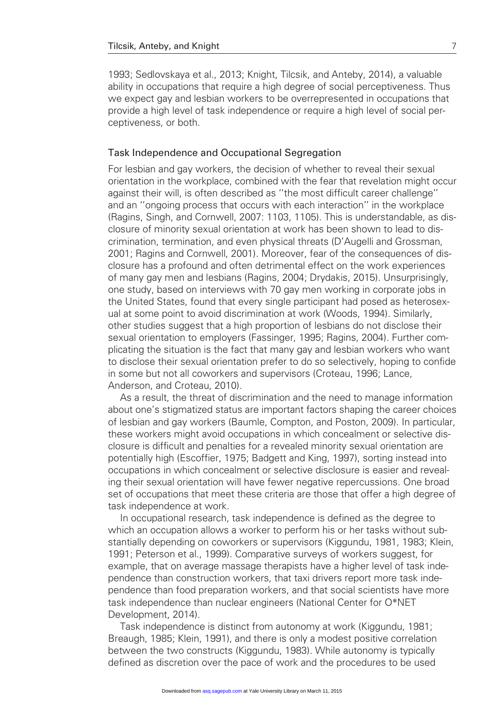1993; Sedlovskaya et al., 2013; Knight, Tilcsik, and Anteby, 2014), a valuable ability in occupations that require a high degree of social perceptiveness. Thus we expect gay and lesbian workers to be overrepresented in occupations that provide a high level of task independence or require a high level of social perceptiveness, or both.

## Task Independence and Occupational Segregation

For lesbian and gay workers, the decision of whether to reveal their sexual orientation in the workplace, combined with the fear that revelation might occur against their will, is often described as ''the most difficult career challenge'' and an ''ongoing process that occurs with each interaction'' in the workplace (Ragins, Singh, and Cornwell, 2007: 1103, 1105). This is understandable, as disclosure of minority sexual orientation at work has been shown to lead to discrimination, termination, and even physical threats (D'Augelli and Grossman, 2001; Ragins and Cornwell, 2001). Moreover, fear of the consequences of disclosure has a profound and often detrimental effect on the work experiences of many gay men and lesbians (Ragins, 2004; Drydakis, 2015). Unsurprisingly, one study, based on interviews with 70 gay men working in corporate jobs in the United States, found that every single participant had posed as heterosexual at some point to avoid discrimination at work (Woods, 1994). Similarly, other studies suggest that a high proportion of lesbians do not disclose their sexual orientation to employers (Fassinger, 1995; Ragins, 2004). Further complicating the situation is the fact that many gay and lesbian workers who want to disclose their sexual orientation prefer to do so selectively, hoping to confide in some but not all coworkers and supervisors (Croteau, 1996; Lance, Anderson, and Croteau, 2010).

As a result, the threat of discrimination and the need to manage information about one's stigmatized status are important factors shaping the career choices of lesbian and gay workers (Baumle, Compton, and Poston, 2009). In particular, these workers might avoid occupations in which concealment or selective disclosure is difficult and penalties for a revealed minority sexual orientation are potentially high (Escoffier, 1975; Badgett and King, 1997), sorting instead into occupations in which concealment or selective disclosure is easier and revealing their sexual orientation will have fewer negative repercussions. One broad set of occupations that meet these criteria are those that offer a high degree of task independence at work.

In occupational research, task independence is defined as the degree to which an occupation allows a worker to perform his or her tasks without substantially depending on coworkers or supervisors (Kiggundu, 1981, 1983; Klein, 1991; Peterson et al., 1999). Comparative surveys of workers suggest, for example, that on average massage therapists have a higher level of task independence than construction workers, that taxi drivers report more task independence than food preparation workers, and that social scientists have more task independence than nuclear engineers (National Center for O\*NET Development, 2014).

Task independence is distinct from autonomy at work (Kiggundu, 1981; Breaugh, 1985; Klein, 1991), and there is only a modest positive correlation between the two constructs (Kiggundu, 1983). While autonomy is typically defined as discretion over the pace of work and the procedures to be used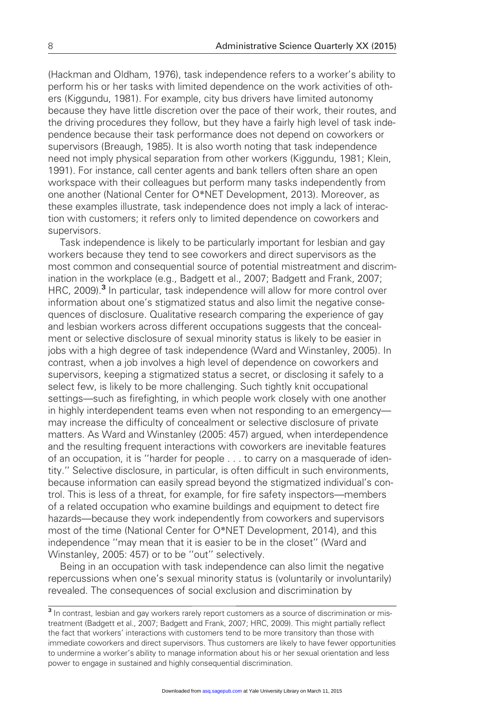(Hackman and Oldham, 1976), task independence refers to a worker's ability to perform his or her tasks with limited dependence on the work activities of others (Kiggundu, 1981). For example, city bus drivers have limited autonomy because they have little discretion over the pace of their work, their routes, and the driving procedures they follow, but they have a fairly high level of task independence because their task performance does not depend on coworkers or supervisors (Breaugh, 1985). It is also worth noting that task independence need not imply physical separation from other workers (Kiggundu, 1981; Klein, 1991). For instance, call center agents and bank tellers often share an open workspace with their colleagues but perform many tasks independently from one another (National Center for O\*NET Development, 2013). Moreover, as these examples illustrate, task independence does not imply a lack of interaction with customers; it refers only to limited dependence on coworkers and supervisors.

Task independence is likely to be particularly important for lesbian and gay workers because they tend to see coworkers and direct supervisors as the most common and consequential source of potential mistreatment and discrimination in the workplace (e.g., Badgett et al., 2007; Badgett and Frank, 2007; HRC, 2009).<sup>3</sup> In particular, task independence will allow for more control over information about one's stigmatized status and also limit the negative consequences of disclosure. Qualitative research comparing the experience of gay and lesbian workers across different occupations suggests that the concealment or selective disclosure of sexual minority status is likely to be easier in jobs with a high degree of task independence (Ward and Winstanley, 2005). In contrast, when a job involves a high level of dependence on coworkers and supervisors, keeping a stigmatized status a secret, or disclosing it safely to a select few, is likely to be more challenging. Such tightly knit occupational settings—such as firefighting, in which people work closely with one another in highly interdependent teams even when not responding to an emergency may increase the difficulty of concealment or selective disclosure of private matters. As Ward and Winstanley (2005: 457) argued, when interdependence and the resulting frequent interactions with coworkers are inevitable features of an occupation, it is ''harder for people . . . to carry on a masquerade of identity.'' Selective disclosure, in particular, is often difficult in such environments, because information can easily spread beyond the stigmatized individual's control. This is less of a threat, for example, for fire safety inspectors—members of a related occupation who examine buildings and equipment to detect fire hazards—because they work independently from coworkers and supervisors most of the time (National Center for O\*NET Development, 2014), and this independence ''may mean that it is easier to be in the closet'' (Ward and Winstanley, 2005: 457) or to be ''out'' selectively.

Being in an occupation with task independence can also limit the negative repercussions when one's sexual minority status is (voluntarily or involuntarily) revealed. The consequences of social exclusion and discrimination by

<sup>&</sup>lt;sup>3</sup> In contrast, lesbian and gay workers rarely report customers as a source of discrimination or mistreatment (Badgett et al., 2007; Badgett and Frank, 2007; HRC, 2009). This might partially reflect the fact that workers' interactions with customers tend to be more transitory than those with immediate coworkers and direct supervisors. Thus customers are likely to have fewer opportunities to undermine a worker's ability to manage information about his or her sexual orientation and less power to engage in sustained and highly consequential discrimination.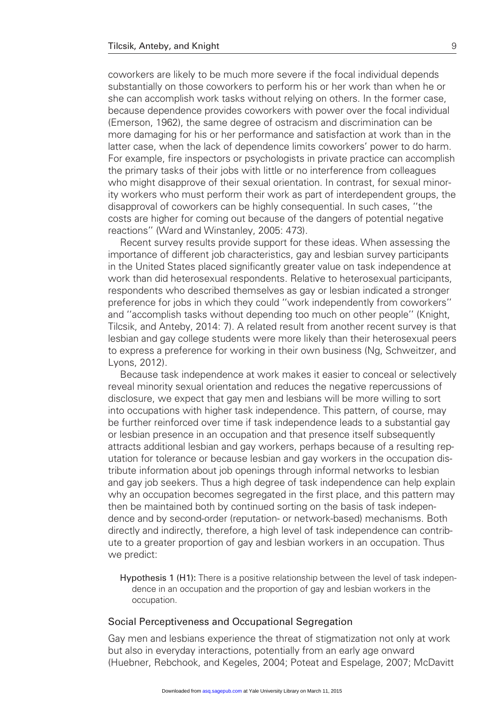coworkers are likely to be much more severe if the focal individual depends substantially on those coworkers to perform his or her work than when he or she can accomplish work tasks without relying on others. In the former case, because dependence provides coworkers with power over the focal individual (Emerson, 1962), the same degree of ostracism and discrimination can be more damaging for his or her performance and satisfaction at work than in the latter case, when the lack of dependence limits coworkers' power to do harm. For example, fire inspectors or psychologists in private practice can accomplish the primary tasks of their jobs with little or no interference from colleagues who might disapprove of their sexual orientation. In contrast, for sexual minority workers who must perform their work as part of interdependent groups, the disapproval of coworkers can be highly consequential. In such cases, ''the costs are higher for coming out because of the dangers of potential negative reactions'' (Ward and Winstanley, 2005: 473).

Recent survey results provide support for these ideas. When assessing the importance of different job characteristics, gay and lesbian survey participants in the United States placed significantly greater value on task independence at work than did heterosexual respondents. Relative to heterosexual participants, respondents who described themselves as gay or lesbian indicated a stronger preference for jobs in which they could ''work independently from coworkers'' and ''accomplish tasks without depending too much on other people'' (Knight, Tilcsik, and Anteby, 2014: 7). A related result from another recent survey is that lesbian and gay college students were more likely than their heterosexual peers to express a preference for working in their own business (Ng, Schweitzer, and Lyons, 2012).

Because task independence at work makes it easier to conceal or selectively reveal minority sexual orientation and reduces the negative repercussions of disclosure, we expect that gay men and lesbians will be more willing to sort into occupations with higher task independence. This pattern, of course, may be further reinforced over time if task independence leads to a substantial gay or lesbian presence in an occupation and that presence itself subsequently attracts additional lesbian and gay workers, perhaps because of a resulting reputation for tolerance or because lesbian and gay workers in the occupation distribute information about job openings through informal networks to lesbian and gay job seekers. Thus a high degree of task independence can help explain why an occupation becomes segregated in the first place, and this pattern may then be maintained both by continued sorting on the basis of task independence and by second-order (reputation- or network-based) mechanisms. Both directly and indirectly, therefore, a high level of task independence can contribute to a greater proportion of gay and lesbian workers in an occupation. Thus we predict:

Hypothesis 1 (H1): There is a positive relationship between the level of task independence in an occupation and the proportion of gay and lesbian workers in the occupation.

## Social Perceptiveness and Occupational Segregation

Gay men and lesbians experience the threat of stigmatization not only at work but also in everyday interactions, potentially from an early age onward (Huebner, Rebchook, and Kegeles, 2004; Poteat and Espelage, 2007; McDavitt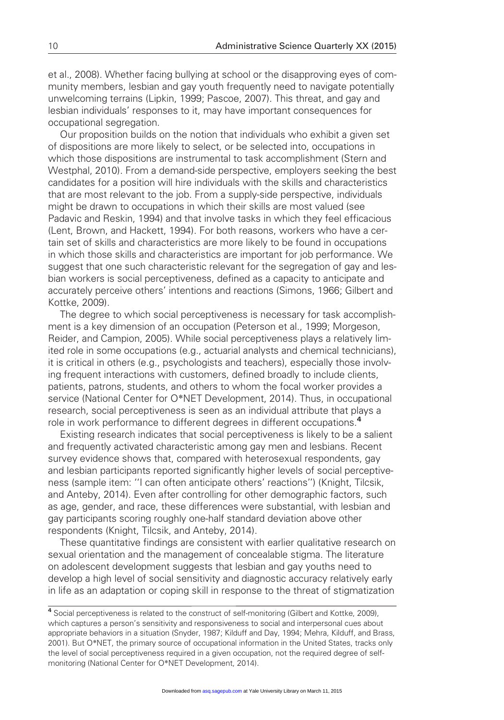et al., 2008). Whether facing bullying at school or the disapproving eyes of community members, lesbian and gay youth frequently need to navigate potentially unwelcoming terrains (Lipkin, 1999; Pascoe, 2007). This threat, and gay and lesbian individuals' responses to it, may have important consequences for occupational segregation.

Our proposition builds on the notion that individuals who exhibit a given set of dispositions are more likely to select, or be selected into, occupations in which those dispositions are instrumental to task accomplishment (Stern and Westphal, 2010). From a demand-side perspective, employers seeking the best candidates for a position will hire individuals with the skills and characteristics that are most relevant to the job. From a supply-side perspective, individuals might be drawn to occupations in which their skills are most valued (see Padavic and Reskin, 1994) and that involve tasks in which they feel efficacious (Lent, Brown, and Hackett, 1994). For both reasons, workers who have a certain set of skills and characteristics are more likely to be found in occupations in which those skills and characteristics are important for job performance. We suggest that one such characteristic relevant for the segregation of gay and lesbian workers is social perceptiveness, defined as a capacity to anticipate and accurately perceive others' intentions and reactions (Simons, 1966; Gilbert and Kottke, 2009).

The degree to which social perceptiveness is necessary for task accomplishment is a key dimension of an occupation (Peterson et al., 1999; Morgeson, Reider, and Campion, 2005). While social perceptiveness plays a relatively limited role in some occupations (e.g., actuarial analysts and chemical technicians), it is critical in others (e.g., psychologists and teachers), especially those involving frequent interactions with customers, defined broadly to include clients, patients, patrons, students, and others to whom the focal worker provides a service (National Center for O\*NET Development, 2014). Thus, in occupational research, social perceptiveness is seen as an individual attribute that plays a role in work performance to different degrees in different occupations.<sup>4</sup>

Existing research indicates that social perceptiveness is likely to be a salient and frequently activated characteristic among gay men and lesbians. Recent survey evidence shows that, compared with heterosexual respondents, gay and lesbian participants reported significantly higher levels of social perceptiveness (sample item: ''I can often anticipate others' reactions'') (Knight, Tilcsik, and Anteby, 2014). Even after controlling for other demographic factors, such as age, gender, and race, these differences were substantial, with lesbian and gay participants scoring roughly one-half standard deviation above other respondents (Knight, Tilcsik, and Anteby, 2014).

These quantitative findings are consistent with earlier qualitative research on sexual orientation and the management of concealable stigma. The literature on adolescent development suggests that lesbian and gay youths need to develop a high level of social sensitivity and diagnostic accuracy relatively early in life as an adaptation or coping skill in response to the threat of stigmatization

<sup>4</sup> Social perceptiveness is related to the construct of self-monitoring (Gilbert and Kottke, 2009), which captures a person's sensitivity and responsiveness to social and interpersonal cues about appropriate behaviors in a situation (Snyder, 1987; Kilduff and Day, 1994; Mehra, Kilduff, and Brass, 2001). But O\*NET, the primary source of occupational information in the United States, tracks only the level of social perceptiveness required in a given occupation, not the required degree of selfmonitoring (National Center for O\*NET Development, 2014).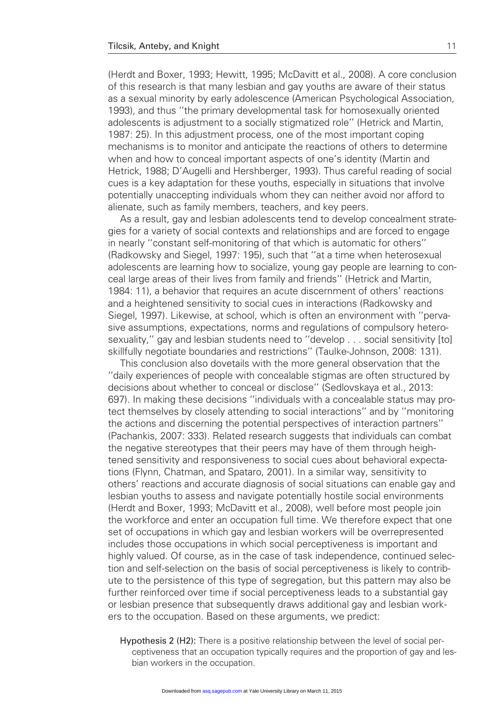(Herdt and Boxer, 1993; Hewitt, 1995; McDavitt et al., 2008). A core conclusion of this research is that many lesbian and gay youths are aware of their status as a sexual minority by early adolescence (American Psychological Association, 1993), and thus ''the primary developmental task for homosexually oriented adolescents is adjustment to a socially stigmatized role'' (Hetrick and Martin, 1987: 25). In this adjustment process, one of the most important coping mechanisms is to monitor and anticipate the reactions of others to determine when and how to conceal important aspects of one's identity (Martin and Hetrick, 1988; D'Augelli and Hershberger, 1993). Thus careful reading of social cues is a key adaptation for these youths, especially in situations that involve potentially unaccepting individuals whom they can neither avoid nor afford to alienate, such as family members, teachers, and key peers.

As a result, gay and lesbian adolescents tend to develop concealment strategies for a variety of social contexts and relationships and are forced to engage in nearly ''constant self-monitoring of that which is automatic for others'' (Radkowsky and Siegel, 1997: 195), such that ''at a time when heterosexual adolescents are learning how to socialize, young gay people are learning to conceal large areas of their lives from family and friends'' (Hetrick and Martin, 1984: 11), a behavior that requires an acute discernment of others' reactions and a heightened sensitivity to social cues in interactions (Radkowsky and Siegel, 1997). Likewise, at school, which is often an environment with ''pervasive assumptions, expectations, norms and regulations of compulsory heterosexuality,'' gay and lesbian students need to ''develop . . . social sensitivity [to] skillfully negotiate boundaries and restrictions'' (Taulke-Johnson, 2008: 131).

This conclusion also dovetails with the more general observation that the ''daily experiences of people with concealable stigmas are often structured by decisions about whether to conceal or disclose'' (Sedlovskaya et al., 2013: 697). In making these decisions ''individuals with a concealable status may protect themselves by closely attending to social interactions'' and by ''monitoring the actions and discerning the potential perspectives of interaction partners'' (Pachankis, 2007: 333). Related research suggests that individuals can combat the negative stereotypes that their peers may have of them through heightened sensitivity and responsiveness to social cues about behavioral expectations (Flynn, Chatman, and Spataro, 2001). In a similar way, sensitivity to others' reactions and accurate diagnosis of social situations can enable gay and lesbian youths to assess and navigate potentially hostile social environments (Herdt and Boxer, 1993; McDavitt et al., 2008), well before most people join the workforce and enter an occupation full time. We therefore expect that one set of occupations in which gay and lesbian workers will be overrepresented includes those occupations in which social perceptiveness is important and highly valued. Of course, as in the case of task independence, continued selection and self-selection on the basis of social perceptiveness is likely to contribute to the persistence of this type of segregation, but this pattern may also be further reinforced over time if social perceptiveness leads to a substantial gay or lesbian presence that subsequently draws additional gay and lesbian workers to the occupation. Based on these arguments, we predict:

Hypothesis 2 (H2): There is a positive relationship between the level of social perceptiveness that an occupation typically requires and the proportion of gay and lesbian workers in the occupation.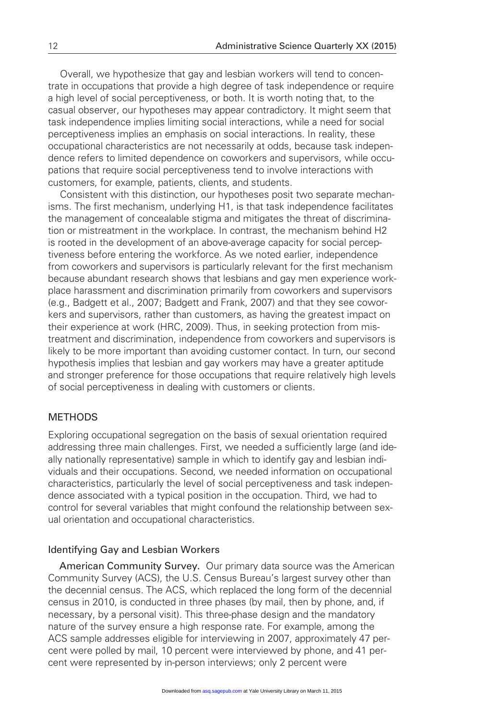Overall, we hypothesize that gay and lesbian workers will tend to concentrate in occupations that provide a high degree of task independence or require a high level of social perceptiveness, or both. It is worth noting that, to the casual observer, our hypotheses may appear contradictory. It might seem that task independence implies limiting social interactions, while a need for social perceptiveness implies an emphasis on social interactions. In reality, these occupational characteristics are not necessarily at odds, because task independence refers to limited dependence on coworkers and supervisors, while occupations that require social perceptiveness tend to involve interactions with customers, for example, patients, clients, and students.

Consistent with this distinction, our hypotheses posit two separate mechanisms. The first mechanism, underlying H1, is that task independence facilitates the management of concealable stigma and mitigates the threat of discrimination or mistreatment in the workplace. In contrast, the mechanism behind H2 is rooted in the development of an above-average capacity for social perceptiveness before entering the workforce. As we noted earlier, independence from coworkers and supervisors is particularly relevant for the first mechanism because abundant research shows that lesbians and gay men experience workplace harassment and discrimination primarily from coworkers and supervisors (e.g., Badgett et al., 2007; Badgett and Frank, 2007) and that they see coworkers and supervisors, rather than customers, as having the greatest impact on their experience at work (HRC, 2009). Thus, in seeking protection from mistreatment and discrimination, independence from coworkers and supervisors is likely to be more important than avoiding customer contact. In turn, our second hypothesis implies that lesbian and gay workers may have a greater aptitude and stronger preference for those occupations that require relatively high levels of social perceptiveness in dealing with customers or clients.

## **METHODS**

Exploring occupational segregation on the basis of sexual orientation required addressing three main challenges. First, we needed a sufficiently large (and ideally nationally representative) sample in which to identify gay and lesbian individuals and their occupations. Second, we needed information on occupational characteristics, particularly the level of social perceptiveness and task independence associated with a typical position in the occupation. Third, we had to control for several variables that might confound the relationship between sexual orientation and occupational characteristics.

#### Identifying Gay and Lesbian Workers

American Community Survey. Our primary data source was the American Community Survey (ACS), the U.S. Census Bureau's largest survey other than the decennial census. The ACS, which replaced the long form of the decennial census in 2010, is conducted in three phases (by mail, then by phone, and, if necessary, by a personal visit). This three-phase design and the mandatory nature of the survey ensure a high response rate. For example, among the ACS sample addresses eligible for interviewing in 2007, approximately 47 percent were polled by mail, 10 percent were interviewed by phone, and 41 percent were represented by in-person interviews; only 2 percent were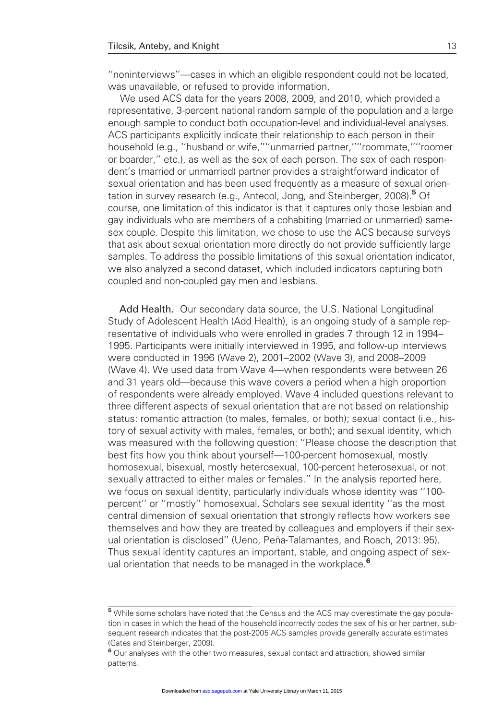''noninterviews''—cases in which an eligible respondent could not be located, was unavailable, or refused to provide information.

We used ACS data for the years 2008, 2009, and 2010, which provided a representative, 3-percent national random sample of the population and a large enough sample to conduct both occupation-level and individual-level analyses. ACS participants explicitly indicate their relationship to each person in their household (e.g., ''husband or wife,''''unmarried partner,''''roommate,''''roomer or boarder,'' etc.), as well as the sex of each person. The sex of each respondent's (married or unmarried) partner provides a straightforward indicator of sexual orientation and has been used frequently as a measure of sexual orientation in survey research (e.g., Antecol, Jong, and Steinberger, 2008).<sup>5</sup> Of course, one limitation of this indicator is that it captures only those lesbian and gay individuals who are members of a cohabiting (married or unmarried) samesex couple. Despite this limitation, we chose to use the ACS because surveys that ask about sexual orientation more directly do not provide sufficiently large samples. To address the possible limitations of this sexual orientation indicator, we also analyzed a second dataset, which included indicators capturing both coupled and non-coupled gay men and lesbians.

Add Health. Our secondary data source, the U.S. National Longitudinal Study of Adolescent Health (Add Health), is an ongoing study of a sample representative of individuals who were enrolled in grades 7 through 12 in 1994– 1995. Participants were initially interviewed in 1995, and follow-up interviews were conducted in 1996 (Wave 2), 2001–2002 (Wave 3), and 2008–2009 (Wave 4). We used data from Wave 4—when respondents were between 26 and 31 years old—because this wave covers a period when a high proportion of respondents were already employed. Wave 4 included questions relevant to three different aspects of sexual orientation that are not based on relationship status: romantic attraction (to males, females, or both); sexual contact (i.e., history of sexual activity with males, females, or both); and sexual identity, which was measured with the following question: ''Please choose the description that best fits how you think about yourself—100-percent homosexual, mostly homosexual, bisexual, mostly heterosexual, 100-percent heterosexual, or not sexually attracted to either males or females.'' In the analysis reported here, we focus on sexual identity, particularly individuals whose identity was ''100 percent'' or ''mostly'' homosexual. Scholars see sexual identity ''as the most central dimension of sexual orientation that strongly reflects how workers see themselves and how they are treated by colleagues and employers if their sexual orientation is disclosed" (Ueno, Peña-Talamantes, and Roach, 2013: 95). Thus sexual identity captures an important, stable, and ongoing aspect of sexual orientation that needs to be managed in the workplace.<sup>6</sup>

<sup>&</sup>lt;sup>5</sup> While some scholars have noted that the Census and the ACS may overestimate the gay population in cases in which the head of the household incorrectly codes the sex of his or her partner, subsequent research indicates that the post-2005 ACS samples provide generally accurate estimates (Gates and Steinberger, 2009).

<sup>6</sup> Our analyses with the other two measures, sexual contact and attraction, showed similar patterns.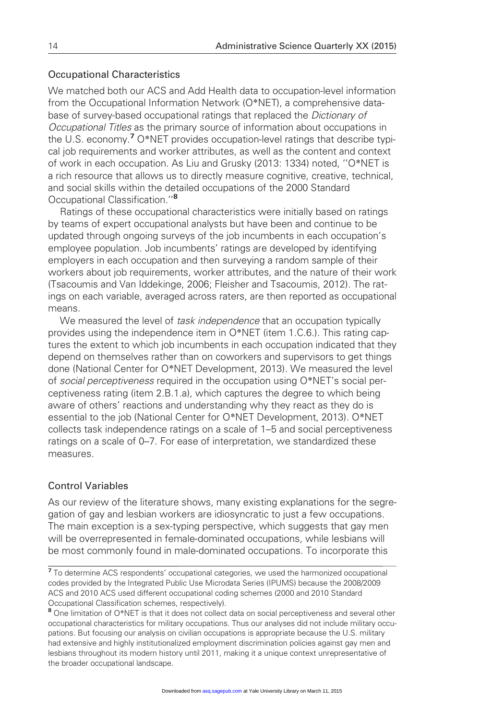## Occupational Characteristics

We matched both our ACS and Add Health data to occupation-level information from the Occupational Information Network (O\*NET), a comprehensive database of survey-based occupational ratings that replaced the Dictionary of Occupational Titles as the primary source of information about occupations in the U.S. economy.<sup>7</sup> O\*NET provides occupation-level ratings that describe typical job requirements and worker attributes, as well as the content and context of work in each occupation. As Liu and Grusky (2013: 1334) noted, ''O\*NET is a rich resource that allows us to directly measure cognitive, creative, technical, and social skills within the detailed occupations of the 2000 Standard Occupational Classification.''<sup>8</sup>

Ratings of these occupational characteristics were initially based on ratings by teams of expert occupational analysts but have been and continue to be updated through ongoing surveys of the job incumbents in each occupation's employee population. Job incumbents' ratings are developed by identifying employers in each occupation and then surveying a random sample of their workers about job requirements, worker attributes, and the nature of their work (Tsacoumis and Van Iddekinge, 2006; Fleisher and Tsacoumis, 2012). The ratings on each variable, averaged across raters, are then reported as occupational means.

We measured the level of task independence that an occupation typically provides using the independence item in O\*NET (item 1.C.6.). This rating captures the extent to which job incumbents in each occupation indicated that they depend on themselves rather than on coworkers and supervisors to get things done (National Center for O\*NET Development, 2013). We measured the level of social perceptiveness required in the occupation using O\*NET's social perceptiveness rating (item 2.B.1.a), which captures the degree to which being aware of others' reactions and understanding why they react as they do is essential to the job (National Center for O\*NET Development, 2013). O\*NET collects task independence ratings on a scale of 1–5 and social perceptiveness ratings on a scale of 0–7. For ease of interpretation, we standardized these measures.

## Control Variables

As our review of the literature shows, many existing explanations for the segregation of gay and lesbian workers are idiosyncratic to just a few occupations. The main exception is a sex-typing perspective, which suggests that gay men will be overrepresented in female-dominated occupations, while lesbians will be most commonly found in male-dominated occupations. To incorporate this

<sup>7</sup> To determine ACS respondents' occupational categories, we used the harmonized occupational codes provided by the Integrated Public Use Microdata Series (IPUMS) because the 2008/2009 ACS and 2010 ACS used different occupational coding schemes (2000 and 2010 Standard Occupational Classification schemes, respectively).

<sup>8</sup> One limitation of O\*NET is that it does not collect data on social perceptiveness and several other occupational characteristics for military occupations. Thus our analyses did not include military occupations. But focusing our analysis on civilian occupations is appropriate because the U.S. military had extensive and highly institutionalized employment discrimination policies against gay men and lesbians throughout its modern history until 2011, making it a unique context unrepresentative of the broader occupational landscape.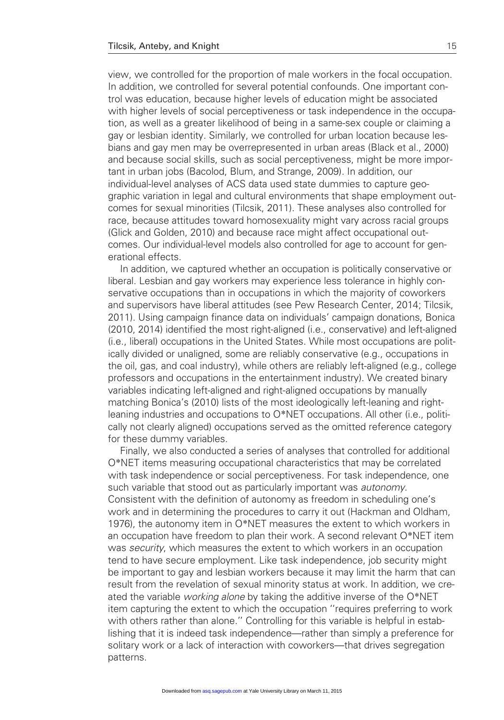view, we controlled for the proportion of male workers in the focal occupation. In addition, we controlled for several potential confounds. One important control was education, because higher levels of education might be associated with higher levels of social perceptiveness or task independence in the occupation, as well as a greater likelihood of being in a same-sex couple or claiming a gay or lesbian identity. Similarly, we controlled for urban location because lesbians and gay men may be overrepresented in urban areas (Black et al., 2000) and because social skills, such as social perceptiveness, might be more important in urban jobs (Bacolod, Blum, and Strange, 2009). In addition, our individual-level analyses of ACS data used state dummies to capture geographic variation in legal and cultural environments that shape employment outcomes for sexual minorities (Tilcsik, 2011). These analyses also controlled for race, because attitudes toward homosexuality might vary across racial groups (Glick and Golden, 2010) and because race might affect occupational outcomes. Our individual-level models also controlled for age to account for generational effects.

In addition, we captured whether an occupation is politically conservative or liberal. Lesbian and gay workers may experience less tolerance in highly conservative occupations than in occupations in which the majority of coworkers and supervisors have liberal attitudes (see Pew Research Center, 2014; Tilcsik, 2011). Using campaign finance data on individuals' campaign donations, Bonica (2010, 2014) identified the most right-aligned (i.e., conservative) and left-aligned (i.e., liberal) occupations in the United States. While most occupations are politically divided or unaligned, some are reliably conservative (e.g., occupations in the oil, gas, and coal industry), while others are reliably left-aligned (e.g., college professors and occupations in the entertainment industry). We created binary variables indicating left-aligned and right-aligned occupations by manually matching Bonica's (2010) lists of the most ideologically left-leaning and rightleaning industries and occupations to O\*NET occupations. All other (i.e., politically not clearly aligned) occupations served as the omitted reference category for these dummy variables.

Finally, we also conducted a series of analyses that controlled for additional O\*NET items measuring occupational characteristics that may be correlated with task independence or social perceptiveness. For task independence, one such variable that stood out as particularly important was *autonomy*. Consistent with the definition of autonomy as freedom in scheduling one's work and in determining the procedures to carry it out (Hackman and Oldham, 1976), the autonomy item in O\*NET measures the extent to which workers in an occupation have freedom to plan their work. A second relevant O\*NET item was security, which measures the extent to which workers in an occupation tend to have secure employment. Like task independence, job security might be important to gay and lesbian workers because it may limit the harm that can result from the revelation of sexual minority status at work. In addition, we created the variable working alone by taking the additive inverse of the O\*NET item capturing the extent to which the occupation ''requires preferring to work with others rather than alone.'' Controlling for this variable is helpful in establishing that it is indeed task independence—rather than simply a preference for solitary work or a lack of interaction with coworkers—that drives segregation patterns.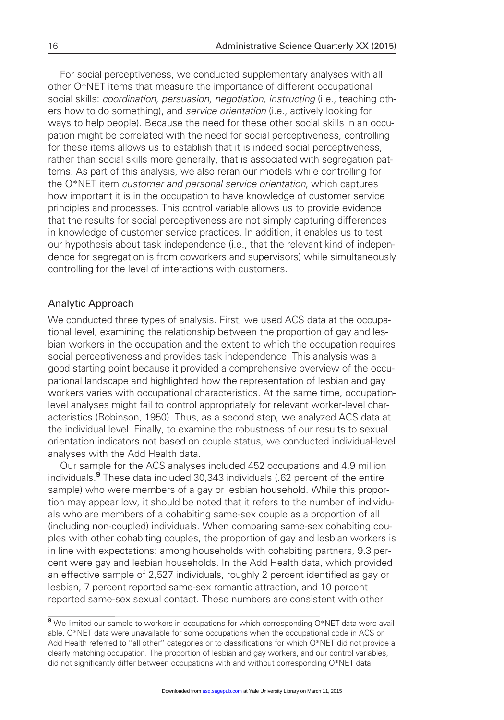For social perceptiveness, we conducted supplementary analyses with all other O\*NET items that measure the importance of different occupational social skills: *coordination, persuasion, negotiation, instructing* (i.e., teaching others how to do something), and service orientation (i.e., actively looking for ways to help people). Because the need for these other social skills in an occupation might be correlated with the need for social perceptiveness, controlling for these items allows us to establish that it is indeed social perceptiveness, rather than social skills more generally, that is associated with segregation patterns. As part of this analysis, we also reran our models while controlling for the O\*NET item customer and personal service orientation, which captures how important it is in the occupation to have knowledge of customer service principles and processes. This control variable allows us to provide evidence that the results for social perceptiveness are not simply capturing differences in knowledge of customer service practices. In addition, it enables us to test our hypothesis about task independence (i.e., that the relevant kind of independence for segregation is from coworkers and supervisors) while simultaneously controlling for the level of interactions with customers.

## Analytic Approach

We conducted three types of analysis. First, we used ACS data at the occupational level, examining the relationship between the proportion of gay and lesbian workers in the occupation and the extent to which the occupation requires social perceptiveness and provides task independence. This analysis was a good starting point because it provided a comprehensive overview of the occupational landscape and highlighted how the representation of lesbian and gay workers varies with occupational characteristics. At the same time, occupationlevel analyses might fail to control appropriately for relevant worker-level characteristics (Robinson, 1950). Thus, as a second step, we analyzed ACS data at the individual level. Finally, to examine the robustness of our results to sexual orientation indicators not based on couple status, we conducted individual-level analyses with the Add Health data.

Our sample for the ACS analyses included 452 occupations and 4.9 million individuals.<sup>9</sup> These data included 30,343 individuals (.62 percent of the entire sample) who were members of a gay or lesbian household. While this proportion may appear low, it should be noted that it refers to the number of individuals who are members of a cohabiting same-sex couple as a proportion of all (including non-coupled) individuals. When comparing same-sex cohabiting couples with other cohabiting couples, the proportion of gay and lesbian workers is in line with expectations: among households with cohabiting partners, 9.3 percent were gay and lesbian households. In the Add Health data, which provided an effective sample of 2,527 individuals, roughly 2 percent identified as gay or lesbian, 7 percent reported same-sex romantic attraction, and 10 percent reported same-sex sexual contact. These numbers are consistent with other

<sup>9</sup> We limited our sample to workers in occupations for which corresponding O\*NET data were available. O\*NET data were unavailable for some occupations when the occupational code in ACS or Add Health referred to ''all other'' categories or to classifications for which O\*NET did not provide a clearly matching occupation. The proportion of lesbian and gay workers, and our control variables, did not significantly differ between occupations with and without corresponding O\*NET data.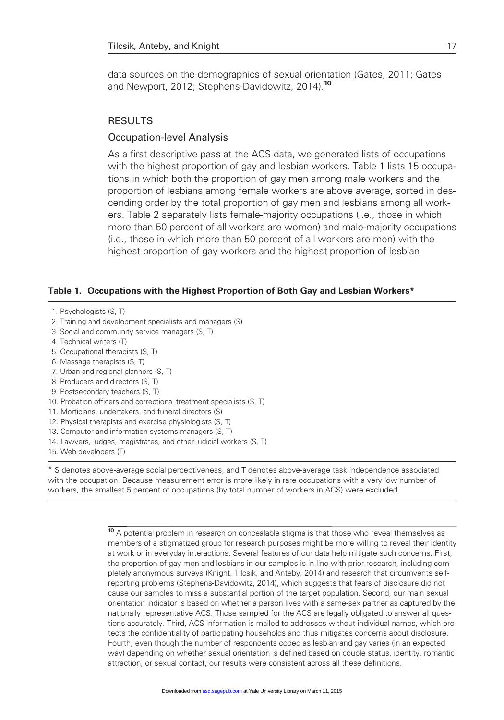data sources on the demographics of sexual orientation (Gates, 2011; Gates and Newport, 2012; Stephens-Davidowitz, 2014).<sup>10</sup>

## RESULTS

## Occupation-level Analysis

As a first descriptive pass at the ACS data, we generated lists of occupations with the highest proportion of gay and lesbian workers. Table 1 lists 15 occupations in which both the proportion of gay men among male workers and the proportion of lesbians among female workers are above average, sorted in descending order by the total proportion of gay men and lesbians among all workers. Table 2 separately lists female-majority occupations (i.e., those in which more than 50 percent of all workers are women) and male-majority occupations (i.e., those in which more than 50 percent of all workers are men) with the highest proportion of gay workers and the highest proportion of lesbian

## Table 1. Occupations with the Highest Proportion of Both Gay and Lesbian Workers\*

1. Psychologists (S, T)

- 2. Training and development specialists and managers (S)
- 3. Social and community service managers (S, T)
- 4. Technical writers (T)
- 5. Occupational therapists (S, T)
- 6. Massage therapists (S, T)
- 7. Urban and regional planners (S, T)
- 8. Producers and directors (S, T)
- 9. Postsecondary teachers (S, T)
- 10. Probation officers and correctional treatment specialists (S, T)
- 11. Morticians, undertakers, and funeral directors (S)
- 12. Physical therapists and exercise physiologists (S, T)
- 13. Computer and information systems managers (S, T)
- 14. Lawyers, judges, magistrates, and other judicial workers (S, T)
- 15. Web developers (T)

\* S denotes above-average social perceptiveness, and T denotes above-average task independence associated with the occupation. Because measurement error is more likely in rare occupations with a very low number of workers, the smallest 5 percent of occupations (by total number of workers in ACS) were excluded.

> <sup>10</sup> A potential problem in research on concealable stigma is that those who reveal themselves as members of a stigmatized group for research purposes might be more willing to reveal their identity at work or in everyday interactions. Several features of our data help mitigate such concerns. First, the proportion of gay men and lesbians in our samples is in line with prior research, including completely anonymous surveys (Knight, Tilcsik, and Anteby, 2014) and research that circumvents selfreporting problems (Stephens-Davidowitz, 2014), which suggests that fears of disclosure did not cause our samples to miss a substantial portion of the target population. Second, our main sexual orientation indicator is based on whether a person lives with a same-sex partner as captured by the nationally representative ACS. Those sampled for the ACS are legally obligated to answer all questions accurately. Third, ACS information is mailed to addresses without individual names, which protects the confidentiality of participating households and thus mitigates concerns about disclosure. Fourth, even though the number of respondents coded as lesbian and gay varies (in an expected way) depending on whether sexual orientation is defined based on couple status, identity, romantic attraction, or sexual contact, our results were consistent across all these definitions.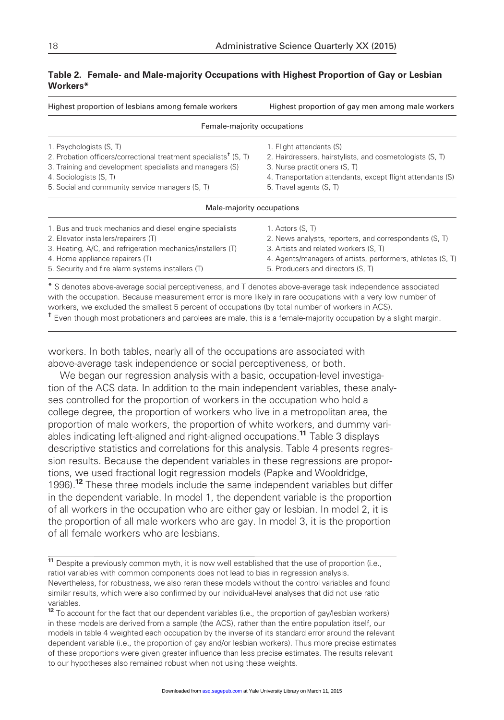## Table 2. Female- and Male-majority Occupations with Highest Proportion of Gay or Lesbian Workers\*

| Highest proportion of lesbians among female workers                                                                                                                                                                                                     | Highest proportion of gay men among male workers                                                                                                                                                                       |  |  |  |  |  |  |  |  |  |  |
|---------------------------------------------------------------------------------------------------------------------------------------------------------------------------------------------------------------------------------------------------------|------------------------------------------------------------------------------------------------------------------------------------------------------------------------------------------------------------------------|--|--|--|--|--|--|--|--|--|--|
| Female-majority occupations                                                                                                                                                                                                                             |                                                                                                                                                                                                                        |  |  |  |  |  |  |  |  |  |  |
| 1. Psychologists (S, T)<br>2. Probation officers/correctional treatment specialists <sup>†</sup> (S, T)<br>3. Training and development specialists and managers (S)<br>4. Sociologists (S, T)<br>5. Social and community service managers (S, T)        | 1. Flight attendants (S)<br>2. Hairdressers, hairstylists, and cosmetologists (S, T)<br>3. Nurse practitioners (S, T)<br>4. Transportation attendants, except flight attendants (S)<br>5. Travel agents (S, T)         |  |  |  |  |  |  |  |  |  |  |
| Male-majority occupations                                                                                                                                                                                                                               |                                                                                                                                                                                                                        |  |  |  |  |  |  |  |  |  |  |
| 1. Bus and truck mechanics and diesel engine specialists<br>2. Elevator installers/repairers (T)<br>3. Heating, A/C, and refrigeration mechanics/installers (T)<br>4. Home appliance repairers (T)<br>5. Security and fire alarm systems installers (T) | 1. Actors (S, T)<br>2. News analysts, reporters, and correspondents (S, T)<br>3. Artists and related workers (S, T)<br>4. Agents/managers of artists, performers, athletes (S, T)<br>5. Producers and directors (S, T) |  |  |  |  |  |  |  |  |  |  |

\* S denotes above-average social perceptiveness, and T denotes above-average task independence associated with the occupation. Because measurement error is more likely in rare occupations with a very low number of workers, we excluded the smallest 5 percent of occupations (by total number of workers in ACS).

<sup>†</sup> Even though most probationers and parolees are male, this is a female-majority occupation by a slight margin.

workers. In both tables, nearly all of the occupations are associated with above-average task independence or social perceptiveness, or both.

We began our regression analysis with a basic, occupation-level investigation of the ACS data. In addition to the main independent variables, these analyses controlled for the proportion of workers in the occupation who hold a college degree, the proportion of workers who live in a metropolitan area, the proportion of male workers, the proportion of white workers, and dummy variables indicating left-aligned and right-aligned occupations.<sup>11</sup> Table 3 displays descriptive statistics and correlations for this analysis. Table 4 presents regression results. Because the dependent variables in these regressions are proportions, we used fractional logit regression models (Papke and Wooldridge, 1996).<sup>12</sup> These three models include the same independent variables but differ in the dependent variable. In model 1, the dependent variable is the proportion of all workers in the occupation who are either gay or lesbian. In model 2, it is the proportion of all male workers who are gay. In model 3, it is the proportion of all female workers who are lesbians.

<sup>12</sup> To account for the fact that our dependent variables (i.e., the proportion of gay/lesbian workers) in these models are derived from a sample (the ACS), rather than the entire population itself, our models in table 4 weighted each occupation by the inverse of its standard error around the relevant dependent variable (i.e., the proportion of gay and/or lesbian workers). Thus more precise estimates of these proportions were given greater influence than less precise estimates. The results relevant to our hypotheses also remained robust when not using these weights.

<sup>&</sup>lt;sup>11</sup> Despite a previously common myth, it is now well established that the use of proportion (i.e., ratio) variables with common components does not lead to bias in regression analysis. Nevertheless, for robustness, we also reran these models without the control variables and found similar results, which were also confirmed by our individual-level analyses that did not use ratio variables.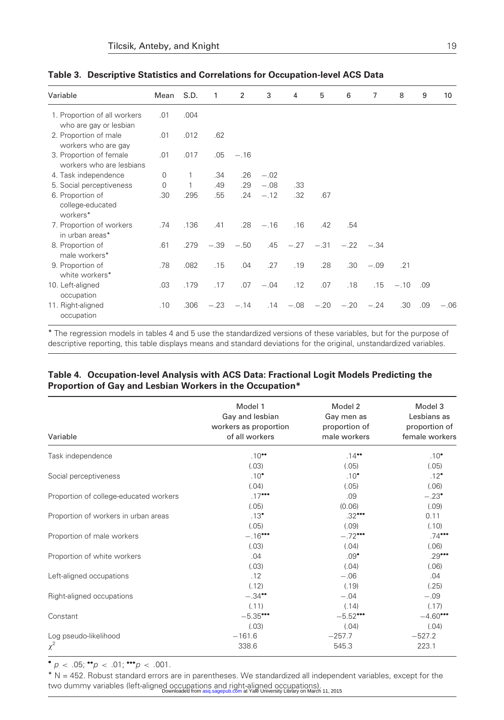| Variable                                               | Mean     | S.D. | 1      | 2      | 3      | 4      | 5      | 6      | 7      | 8      | 9   | 10     |
|--------------------------------------------------------|----------|------|--------|--------|--------|--------|--------|--------|--------|--------|-----|--------|
| 1. Proportion of all workers<br>who are gay or lesbian | .01      | .004 |        |        |        |        |        |        |        |        |     |        |
| 2. Proportion of male<br>workers who are gay           | .01      | .012 | .62    |        |        |        |        |        |        |        |     |        |
| 3. Proportion of female<br>workers who are lesbians    | .01      | .017 | .05    | $-.16$ |        |        |        |        |        |        |     |        |
| 4. Task independence                                   | $\Omega$ | 1    | .34    | .26    | $-.02$ |        |        |        |        |        |     |        |
| 5. Social perceptiveness                               | $\Omega$ | 1    | .49    | .29    | $-.08$ | .33    |        |        |        |        |     |        |
| 6. Proportion of<br>college-educated<br>workers*       | .30      | .295 | .55    | .24    | $-.12$ | .32    | .67    |        |        |        |     |        |
| 7. Proportion of workers<br>in urban areas*            | .74      | .136 | .41    | .28    | $-.16$ | .16    | .42    | .54    |        |        |     |        |
| 8. Proportion of<br>male workers*                      | .61      | .279 | $-.39$ | $-.50$ | .45    | $-.27$ | $-.31$ | $-.22$ | $-.34$ |        |     |        |
| 9. Proportion of<br>white workers*                     | .78      | .082 | .15    | .04    | .27    | .19    | .28    | .30    | $-.09$ | .21    |     |        |
| 10. Left-aligned<br>occupation                         | .03      | .179 | .17    | .07    | $-.04$ | .12    | .07    | .18    | .15    | $-.10$ | .09 |        |
| 11. Right-aligned<br>occupation                        | .10      | .306 | $-.23$ | $-.14$ | .14    | $-.08$ | $-.20$ | $-.20$ | $-.24$ | .30    | .09 | $-.06$ |

Table 3. Descriptive Statistics and Correlations for Occupation-level ACS Data

\* The regression models in tables 4 and 5 use the standardized versions of these variables, but for the purpose of descriptive reporting, this table displays means and standard deviations for the original, unstandardized variables.

## Table 4. Occupation-level Analysis with ACS Data: Fractional Logit Models Predicting the Proportion of Gay and Lesbian Workers in the Occupation\*

| Variable                               | Model 1<br>Gay and lesbian<br>workers as proportion<br>of all workers | Model 2<br>Gay men as<br>proportion of<br>male workers | Model 3<br>Lesbians as<br>proportion of<br>female workers |
|----------------------------------------|-----------------------------------------------------------------------|--------------------------------------------------------|-----------------------------------------------------------|
| Task independence                      | .10                                                                   | .14                                                    | $.10^{\circ}$                                             |
|                                        | (.03)                                                                 | (.05)                                                  | (.05)                                                     |
| Social perceptiveness                  | $.10^{\circ}$                                                         | $.10^{\circ}$                                          | $.12^{\circ}$                                             |
|                                        | (.04)                                                                 | (.05)                                                  | (.06)                                                     |
| Proportion of college-educated workers | $.17***$                                                              | .09                                                    | $-.23^{\circ}$                                            |
|                                        | (.05)                                                                 | (0.06)                                                 | (.09)                                                     |
| Proportion of workers in urban areas   | $.13^{\circ}$                                                         | $.32$ ***                                              | 0.11                                                      |
|                                        | (.05)                                                                 | (.09)                                                  | (.10)                                                     |
| Proportion of male workers             | $-.16$                                                                | $-.72$ ***                                             | $.74$ ***                                                 |
|                                        | (.03)                                                                 | (.04)                                                  | (.06)                                                     |
| Proportion of white workers            | .04                                                                   | $.09^{\bullet}$                                        | $.29$ ***                                                 |
|                                        | (.03)                                                                 | (.04)                                                  | (.06)                                                     |
| Left-aligned occupations               | .12                                                                   | $-.06$                                                 | .04                                                       |
|                                        | (.12)                                                                 | (.19)                                                  | (.25)                                                     |
| Right-aligned occupations              | $-.34$                                                                | $-.04$                                                 | $-.09$                                                    |
|                                        | (.11)                                                                 | (.14)                                                  | (.17)                                                     |
| Constant                               | $-5.35$ ***                                                           | $-5.52$ ***                                            | $-4.60$ ***                                               |
|                                        | (.03)                                                                 | (.04)                                                  | (.04)                                                     |
| Log pseudo-likelihood                  | $-161.6$                                                              | $-257.7$                                               | $-527.2$                                                  |
| $\chi^2$                               | 338.6                                                                 | 545.3                                                  | 223.1                                                     |

•  $p < .05$ ; ••  $p < .01$ ; ••  $p < .001$ .

\* N = 452. Robust standard errors are in parentheses. We standardized all independent variables, except for the two dummy variables (left-aligned occupations and right-aligned occupations).<br>Downloaded from [asq.sagepub.com](http://asq.sagepub.com/) at Yale University Library on March 11, 2015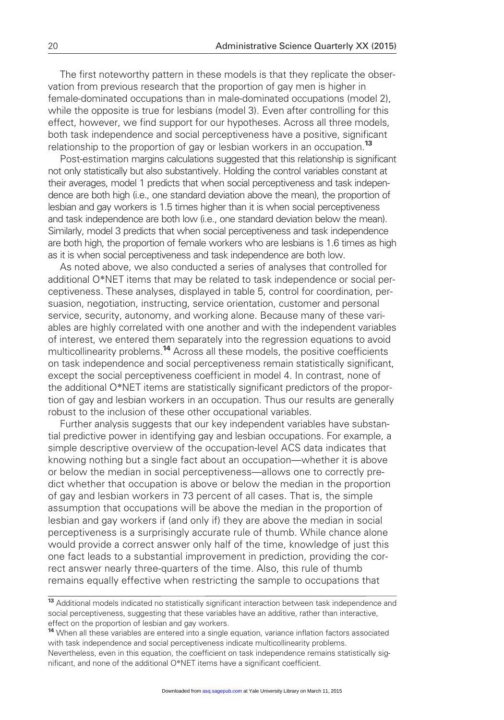The first noteworthy pattern in these models is that they replicate the observation from previous research that the proportion of gay men is higher in female-dominated occupations than in male-dominated occupations (model 2), while the opposite is true for lesbians (model 3). Even after controlling for this effect, however, we find support for our hypotheses. Across all three models, both task independence and social perceptiveness have a positive, significant relationship to the proportion of gay or lesbian workers in an occupation.<sup>13</sup>

Post-estimation margins calculations suggested that this relationship is significant not only statistically but also substantively. Holding the control variables constant at their averages, model 1 predicts that when social perceptiveness and task independence are both high (i.e., one standard deviation above the mean), the proportion of lesbian and gay workers is 1.5 times higher than it is when social perceptiveness and task independence are both low (i.e., one standard deviation below the mean). Similarly, model 3 predicts that when social perceptiveness and task independence are both high, the proportion of female workers who are lesbians is 1.6 times as high as it is when social perceptiveness and task independence are both low.

As noted above, we also conducted a series of analyses that controlled for additional O\*NET items that may be related to task independence or social perceptiveness. These analyses, displayed in table 5, control for coordination, persuasion, negotiation, instructing, service orientation, customer and personal service, security, autonomy, and working alone. Because many of these variables are highly correlated with one another and with the independent variables of interest, we entered them separately into the regression equations to avoid multicollinearity problems.<sup>14</sup> Across all these models, the positive coefficients on task independence and social perceptiveness remain statistically significant, except the social perceptiveness coefficient in model 4. In contrast, none of the additional O\*NET items are statistically significant predictors of the proportion of gay and lesbian workers in an occupation. Thus our results are generally robust to the inclusion of these other occupational variables.

Further analysis suggests that our key independent variables have substantial predictive power in identifying gay and lesbian occupations. For example, a simple descriptive overview of the occupation-level ACS data indicates that knowing nothing but a single fact about an occupation—whether it is above or below the median in social perceptiveness—allows one to correctly predict whether that occupation is above or below the median in the proportion of gay and lesbian workers in 73 percent of all cases. That is, the simple assumption that occupations will be above the median in the proportion of lesbian and gay workers if (and only if) they are above the median in social perceptiveness is a surprisingly accurate rule of thumb. While chance alone would provide a correct answer only half of the time, knowledge of just this one fact leads to a substantial improvement in prediction, providing the correct answer nearly three-quarters of the time. Also, this rule of thumb remains equally effective when restricting the sample to occupations that

<sup>&</sup>lt;sup>13</sup> Additional models indicated no statistically significant interaction between task independence and social perceptiveness, suggesting that these variables have an additive, rather than interactive, effect on the proportion of lesbian and gay workers.

<sup>&</sup>lt;sup>14</sup> When all these variables are entered into a single equation, variance inflation factors associated with task independence and social perceptiveness indicate multicollinearity problems. Nevertheless, even in this equation, the coefficient on task independence remains statistically significant, and none of the additional O\*NET items have a significant coefficient.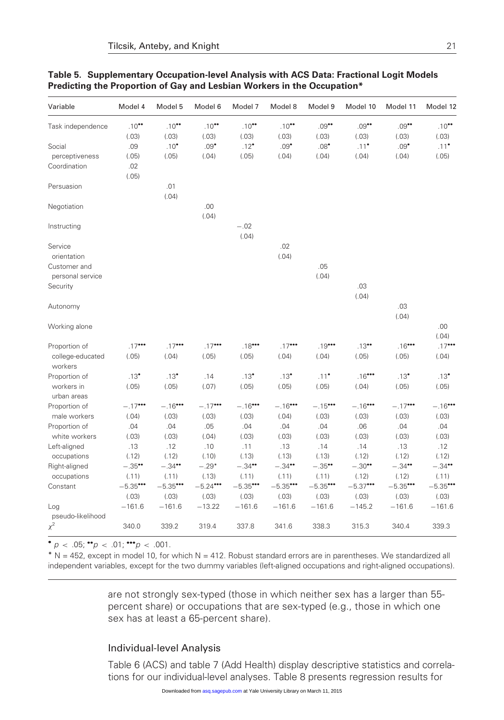| Variable                 | Model 4       | Model 5       | Model 6         | Model 7         | Model 8         | Model 9            | Model 10           | Model 11        | Model 12           |
|--------------------------|---------------|---------------|-----------------|-----------------|-----------------|--------------------|--------------------|-----------------|--------------------|
| Task independence        | .10           | .10           | .10             | .10             | .10             | .09                | .09                | .09             | .10                |
|                          | (.03)         | (.03)         | (.03)           | (.03)           | (.03)           | (.03)              | (.03)              | (.03)           | (.03)              |
| Social                   | .09           | $.10^{\circ}$ | $.09^{\bullet}$ | $.12^{\circ}$   | $.09^{\bullet}$ | $.08^{\bullet}$    | $.11$ <sup>*</sup> | $.09^{\bullet}$ | $.11$ <sup>*</sup> |
| perceptiveness           | (.05)         | (.05)         | (.04)           | (.05)           | (.04)           | (.04)              | (.04)              | (.04)           | (.05)              |
| Coordination             | .02           |               |                 |                 |                 |                    |                    |                 |                    |
|                          | (.05)         |               |                 |                 |                 |                    |                    |                 |                    |
| Persuasion               |               | .01           |                 |                 |                 |                    |                    |                 |                    |
|                          |               | (.04)         |                 |                 |                 |                    |                    |                 |                    |
| Negotiation              |               |               | .00             |                 |                 |                    |                    |                 |                    |
|                          |               |               | (.04)           |                 |                 |                    |                    |                 |                    |
| Instructing              |               |               |                 | $-.02$<br>(.04) |                 |                    |                    |                 |                    |
| Service                  |               |               |                 |                 | .02             |                    |                    |                 |                    |
| orientation              |               |               |                 |                 | (.04)           |                    |                    |                 |                    |
| Customer and             |               |               |                 |                 |                 | .05                |                    |                 |                    |
| personal service         |               |               |                 |                 |                 | (.04)              |                    |                 |                    |
| Security                 |               |               |                 |                 |                 |                    | .03                |                 |                    |
|                          |               |               |                 |                 |                 |                    | (.04)              |                 |                    |
| Autonomy                 |               |               |                 |                 |                 |                    |                    | .03             |                    |
|                          |               |               |                 |                 |                 |                    |                    | (.04)           |                    |
| Working alone            |               |               |                 |                 |                 |                    |                    |                 | .00                |
|                          |               |               |                 |                 |                 |                    |                    |                 | (.04)              |
| Proportion of            | .17           | .17           | .17             | .18             | .17             | .19                | .13                | .16             | .17                |
| college-educated         | (.05)         | (.04)         | (.05)           | (.05)           | (.04)           | (.04)              | (.05)              | (.05)           | (.04)              |
| workers                  |               |               |                 |                 |                 |                    |                    |                 |                    |
| Proportion of            | $.13^{\circ}$ | $.13^{\circ}$ | .14             | $.13^{\circ}$   | $.13^{\circ}$   | $.11$ <sup>*</sup> | .16                | $.13^{\circ}$   | $.13^{\circ}$      |
| workers in               | (.05)         | (.05)         | (.07)           | (.05)           | (.05)           | (.05)              | (.04)              | (.05)           | (.05)              |
| urban areas              |               |               |                 |                 |                 |                    |                    |                 |                    |
| Proportion of            | $-.17$ ***    | $-.16$ ***    | $-.17$ ***      | $-.16$ ***      | $-.16$          | $-.15$ ***         | $-.16$ ***         | $-.17$ ***      | $-.16$             |
| male workers             | (.04)         | (.03)         | (.03)           | (.03)           | (.04)           | (.03)              | (.03)              | (.03)           | (.03)              |
| Proportion of            | .04           | .04           | .05             | .04             | .04             | .04                | .06                | .04             | .04                |
| white workers            | (.03)         | (.03)         | (.04)           | (.03)           | (.03)           | (.03)              | (.03)              | (.03)           | (.03)              |
| Left-aligned             | .13           | .12           | .10             | .11             | .13             | .14                | .14                | .13             | .12                |
| occupations              | (.12)         | (.12)         | (.10)           | (.13)           | (.13)           | (.13)              | (.12)              | (.12)           | (.12)              |
| Right-aligned            | $-.35$        | $-.34$        | $-.29*$         | $-.34$          | $-.34$          | $-.35$             | $-.30$             | $-.34$          | $-.34$             |
| occupations              | (.11)         | (.11)         | (.13)           | (.11)           | (.11)           | (.11)              | (.12)              | (.12)           | (.11)              |
| Constant                 | $-5.35$ ***   | $-5.35$       | $-5.24$ ***     | $-5.35$         | $-5.35$         | $-5.35$            | $-5.37$            | $-5.35$         | $-5.35$ ***        |
|                          | (.03)         | (.03)         | (.03)           | (.03)           | (.03)           | (.03)              | (.03)              | (.03)           | (.03)              |
| Log<br>pseudo-likelihood | $-161.6$      | $-161.6$      | $-13.22$        | $-161.6$        | $-161.6$        | $-161.6$           | $-145.2$           | $-161.6$        | $-161.6$           |
| $\chi^2$                 | 340.0         | 339.2         | 319.4           | 337.8           | 341.6           | 338.3              | 315.3              | 340.4           | 339.3              |
|                          |               |               |                 |                 |                 |                    |                    |                 |                    |

## Table 5. Supplementary Occupation-level Analysis with ACS Data: Fractional Logit Models Predicting the Proportion of Gay and Lesbian Workers in the Occupation\*

•  $p < .05$ ; ••  $p < .01$ ; ••  $p < .001$ .

 $*$  N = 452, except in model 10, for which N = 412. Robust standard errors are in parentheses. We standardized all independent variables, except for the two dummy variables (left-aligned occupations and right-aligned occupations).

> are not strongly sex-typed (those in which neither sex has a larger than 55 percent share) or occupations that are sex-typed (e.g., those in which one sex has at least a 65-percent share).

## Individual-level Analysis

Table 6 (ACS) and table 7 (Add Health) display descriptive statistics and correlations for our individual-level analyses. Table 8 presents regression results for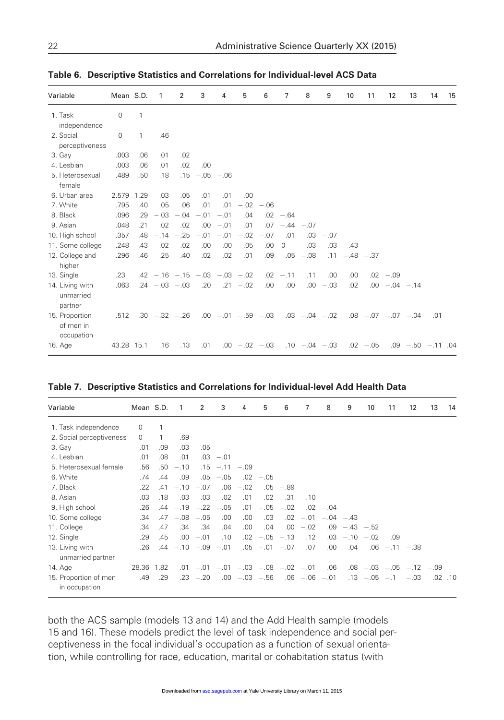| Variable                                  | Mean S.D.    |              | $\overline{1}$                      | 2            | 3                           | 4            | 5                       | 6      | 7                 | 8                 | 9                 | 10                | 11          | 12                      | 13                    | 14  | 15 |
|-------------------------------------------|--------------|--------------|-------------------------------------|--------------|-----------------------------|--------------|-------------------------|--------|-------------------|-------------------|-------------------|-------------------|-------------|-------------------------|-----------------------|-----|----|
| 1. Task<br>independence                   | $\mathbf{0}$ | $\mathbf{1}$ |                                     |              |                             |              |                         |        |                   |                   |                   |                   |             |                         |                       |     |    |
| 2. Social<br>perceptiveness               | $\mathbf{0}$ | 1            | .46                                 |              |                             |              |                         |        |                   |                   |                   |                   |             |                         |                       |     |    |
| 3. Gay                                    | .003         | .06          | .01                                 | .02          |                             |              |                         |        |                   |                   |                   |                   |             |                         |                       |     |    |
| 4. Lesbian                                | .003         | .06          | .01                                 | .02          | .00                         |              |                         |        |                   |                   |                   |                   |             |                         |                       |     |    |
| 5. Heterosexual<br>female                 | .489         | .50          | .18                                 |              | $.15 - .05 - .06$           |              |                         |        |                   |                   |                   |                   |             |                         |                       |     |    |
| 6. Urban area                             | 2.579 1.29   |              | .03                                 | .05          | .01                         | .01          | .00                     |        |                   |                   |                   |                   |             |                         |                       |     |    |
| 7. White                                  | .795         | .40          | .05                                 | .06          | .01                         | .01          | $-.02 - .06$            |        |                   |                   |                   |                   |             |                         |                       |     |    |
| 8. Black                                  | .096         | .29          |                                     |              | $-.03$ $-.04$ $-.01$ $-.01$ |              | .04                     |        | $.02 - .64$       |                   |                   |                   |             |                         |                       |     |    |
| 9. Asian                                  | .048         | .21          | .02                                 | .02          |                             | $.00 - .01$  | .01                     |        | $.07 - .44 - .07$ |                   |                   |                   |             |                         |                       |     |    |
| 10. High school                           | .357         | .48          |                                     | $-.14 - .25$ |                             | $-.01 - .01$ | $-.02$                  | $-.07$ | .01               |                   | $.03 - .07$       |                   |             |                         |                       |     |    |
| 11. Some college                          | .248         | .43          | .02                                 | .02          | .00                         | .00.         | .05                     | .00.   | $\mathbf 0$       |                   | $.03 - .03 - .43$ |                   |             |                         |                       |     |    |
| 12. College and<br>higher                 | .296         | .46          | .25                                 | .40          | .02                         | .02          | .01                     | .09    |                   | $.05 - .08$       |                   | $.11 - .48 - .37$ |             |                         |                       |     |    |
| 13. Single                                | .23          |              | $.42 - .16 - .15 - .03 - .03 - .02$ |              |                             |              |                         |        | $.02 - .11$       | .11               | .00               | .00.              |             | $.02 - .09$             |                       |     |    |
| 14. Living with<br>unmarried<br>partner   | .063         |              | $.24 - .03 - .03$                   |              | .20                         |              | $.21 - .02$             | .00    | .00.              |                   | $.00 - .03$       | .02               |             | $.00 - .04 - .14$       |                       |     |    |
| 15. Proportion<br>of men in<br>occupation | .512         |              | $.30 - .32 - .26$                   |              |                             |              | $.00 - .01 - .59 - .03$ |        |                   | $.03 - .04 - .02$ |                   |                   |             | $.08 - .07 - .07 - .04$ |                       | .01 |    |
| 16. Age                                   | 43.28 15.1   |              | .16                                 | .13          | .01                         |              | $.00 - .02 - .03$       |        |                   | $.10 - .04 - .03$ |                   |                   | $.02 - .05$ |                         | $.09 - .50 - .11$ .04 |     |    |

Table 6. Descriptive Statistics and Correlations for Individual-level ACS Data

|  |  |  | Table 7. Descriptive Statistics and Correlations for Individual-level Add Health Data |  |
|--|--|--|---------------------------------------------------------------------------------------|--|
|--|--|--|---------------------------------------------------------------------------------------|--|

| Variable                               | Mean S.D.   |     | $\overline{1}$ | 2                       | 3                 | 4                                         | 5                 | 6                 | 7                       | 8           | 9                 | 10 | 11                            | 12     | 13 | 14          |
|----------------------------------------|-------------|-----|----------------|-------------------------|-------------------|-------------------------------------------|-------------------|-------------------|-------------------------|-------------|-------------------|----|-------------------------------|--------|----|-------------|
| 1. Task independence                   | $\mathbf 0$ | -1  |                |                         |                   |                                           |                   |                   |                         |             |                   |    |                               |        |    |             |
| 2. Social perceptiveness               | $\circ$     | -1  | .69            |                         |                   |                                           |                   |                   |                         |             |                   |    |                               |        |    |             |
| 3. Gay                                 | .01         | .09 | .03            | .05                     |                   |                                           |                   |                   |                         |             |                   |    |                               |        |    |             |
| 4. Lesbian                             | .01         | .08 | .01            |                         | $.03 - .01$       |                                           |                   |                   |                         |             |                   |    |                               |        |    |             |
| 5. Heterosexual female                 | .56         | .50 | $-.10$         |                         | $.15 - .11 - .09$ |                                           |                   |                   |                         |             |                   |    |                               |        |    |             |
| 6. White                               | .74         | .44 | .09            |                         | $.05 - .05$       |                                           | $.02 - .05$       |                   |                         |             |                   |    |                               |        |    |             |
| 7. Black                               | .22         | .41 | $-.10$         | $-.07$                  | .06               | $-.02$                                    |                   | $.05 - .89$       |                         |             |                   |    |                               |        |    |             |
| 8. Asian                               | .03         | .18 | .03            |                         | $.03 - .02 - .01$ |                                           |                   | $.02 - .31 - .10$ |                         |             |                   |    |                               |        |    |             |
| 9. High school                         | .26         |     |                | $.44 - 19 - 22 - 05$    |                   |                                           | $.01 - .05 - .02$ |                   |                         | $.02 - .04$ |                   |    |                               |        |    |             |
| 10. Some college                       | .34         |     |                | $.47 - .08 - .05$       | 00.               | .00                                       | .03               |                   | $.02 - .01 - .04 - .43$ |             |                   |    |                               |        |    |             |
| 11. College                            | .34         | .47 |                | .34.34                  | .04               | .00.                                      | .04               |                   | $.00 - .02$             |             | $.09 - .43 - .52$ |    |                               |        |    |             |
| 12. Single                             | .29         | .45 |                | $.00 - .01$             | .10               |                                           | $.02 - .05 - .13$ |                   | .12                     |             | $.03 - .10 - .02$ |    | .09                           |        |    |             |
| 13. Living with                        | .26         |     |                | $.44 - .10 - .09 - .01$ |                   |                                           | $.05 - .01 - .07$ |                   | .07                     | .00.        | .04               |    | $.06 - 11 - .38$              |        |    |             |
| unmarried partner                      |             |     |                |                         |                   |                                           |                   |                   |                         |             |                   |    |                               |        |    |             |
| 14. Age                                | 28.36 1.82  |     |                |                         |                   | $.01 - .01 - .01 - .03 - .08 - .02 - .01$ |                   |                   |                         | .06         |                   |    | $.08 - .03 - .05 - .12 - .09$ |        |    |             |
| 15. Proportion of men<br>in occupation | .49         | .29 |                | $.23 - .20$             |                   | $.00 - .03 - .56$ $.06 - .06 - .01$       |                   |                   |                         |             |                   |    | $.13 - .05 - .1$              | $-.03$ |    | $.02$ $.10$ |

both the ACS sample (models 13 and 14) and the Add Health sample (models 15 and 16). These models predict the level of task independence and social perceptiveness in the focal individual's occupation as a function of sexual orientation, while controlling for race, education, marital or cohabitation status (with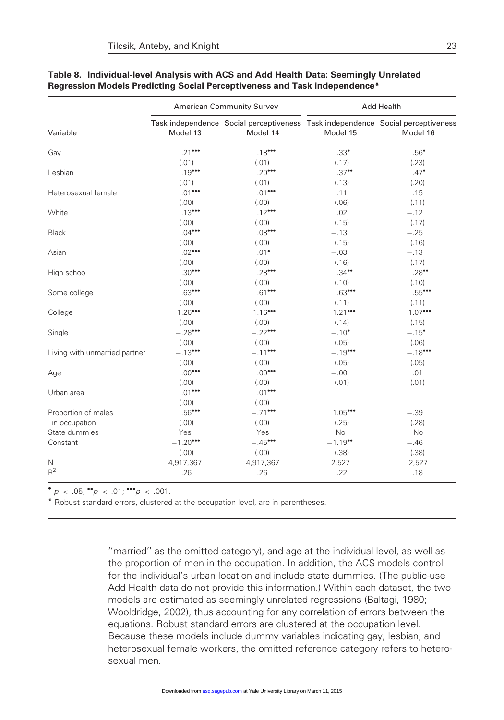|                               |             | <b>American Community Survey</b>                                                            | <b>Add Health</b> |                |  |  |  |
|-------------------------------|-------------|---------------------------------------------------------------------------------------------|-------------------|----------------|--|--|--|
| Variable                      | Model 13    | Task independence Social perceptiveness Task independence Social perceptiveness<br>Model 14 | Model 15          | Model 16       |  |  |  |
| Gay                           | $.21$ ***   | .18                                                                                         | $.33^{\circ}$     | $.56^{\circ}$  |  |  |  |
|                               | (.01)       | (.01)                                                                                       | (.17)             | (.23)          |  |  |  |
| Lesbian                       | .19         | .20                                                                                         | .37               | $.47^{\circ}$  |  |  |  |
|                               | (.01)       | (.01)                                                                                       | (.13)             | (.20)          |  |  |  |
| Heterosexual female           | $.01$ ***   | $.01$ ***                                                                                   | .11               | .15            |  |  |  |
|                               | (.00)       | (.00)                                                                                       | (.06)             | (.11)          |  |  |  |
| White                         | $.13***$    | $.12***$                                                                                    | .02               | $-.12$         |  |  |  |
|                               | (.00)       | (.00)                                                                                       | (.15)             | (.17)          |  |  |  |
| <b>Black</b>                  | $.04$ ***   | .08                                                                                         | $-.13$            | $-.25$         |  |  |  |
|                               | (.00)       | (.00)                                                                                       | (.15)             | (.16)          |  |  |  |
| Asian                         | $.02$ ***   | $.01$ <sup>*</sup>                                                                          | $-.03$            | $-.13$         |  |  |  |
|                               | (.00)       | (.00)                                                                                       | (.16)             | (.17)          |  |  |  |
| High school                   | .30         | .28                                                                                         | .34               | .28            |  |  |  |
|                               | (.00)       | (.00)                                                                                       | (.10)             | (.10)          |  |  |  |
| Some college                  | .63         | $.61$ ***                                                                                   | .63               | $.55$ ***      |  |  |  |
|                               | (.00)       | (.00)                                                                                       | (.11)             | (.11)          |  |  |  |
| College                       | 1.26        | 1.16                                                                                        | 1.21              | 1.07           |  |  |  |
|                               | (.00)       | (.00)                                                                                       | (.14)             | (.15)          |  |  |  |
| Single                        | $-.28$      | $-.22$ ***                                                                                  | $-.10^{\circ}$    | $-.15^{\circ}$ |  |  |  |
|                               | (.00)       | (.00)                                                                                       | (.05)             | (.06)          |  |  |  |
| Living with unmarried partner | $-.13$ ***  | $-.11$ ***                                                                                  | $-.19$            | $-.18$ ***     |  |  |  |
|                               | (.00)       | (.00)                                                                                       | (.05)             | (.05)          |  |  |  |
| Age                           | $.00$ ***   | $.00$ ***                                                                                   | $-.00$            | .01            |  |  |  |
|                               | (.00)       | (.00)                                                                                       | (.01)             | (.01)          |  |  |  |
| Urban area                    | $.01$ ***   | $.01$ ***                                                                                   |                   |                |  |  |  |
|                               | (.00)       | (.00)                                                                                       |                   |                |  |  |  |
| Proportion of males           | $.56$ ***   | $-.71$ ***                                                                                  | 1.05              | $-.39$         |  |  |  |
| in occupation                 | (.00)       | (.00)                                                                                       | (.25)             | (.28)          |  |  |  |
| State dummies                 | Yes         | Yes                                                                                         | No                | No             |  |  |  |
| Constant                      | $-1.20$ *** | $-.45$ ***                                                                                  | $-1.19$           | $-.46$         |  |  |  |
|                               | (.00)       | (.00)                                                                                       | (.38)             | (.38)          |  |  |  |
| $\mathsf{N}$                  | 4,917,367   | 4,917,367                                                                                   | 2,527             | 2,527          |  |  |  |
| $R^2$                         | .26         | .26                                                                                         | .22               | .18            |  |  |  |

## Table 8. Individual-level Analysis with ACS and Add Health Data: Seemingly Unrelated Regression Models Predicting Social Perceptiveness and Task independence\*

•  $p < .05$ ; ••  $p < .01$ ; ••  $p < .001$ .

\* Robust standard errors, clustered at the occupation level, are in parentheses.

''married'' as the omitted category), and age at the individual level, as well as the proportion of men in the occupation. In addition, the ACS models control for the individual's urban location and include state dummies. (The public-use Add Health data do not provide this information.) Within each dataset, the two models are estimated as seemingly unrelated regressions (Baltagi, 1980; Wooldridge, 2002), thus accounting for any correlation of errors between the equations. Robust standard errors are clustered at the occupation level. Because these models include dummy variables indicating gay, lesbian, and heterosexual female workers, the omitted reference category refers to heterosexual men.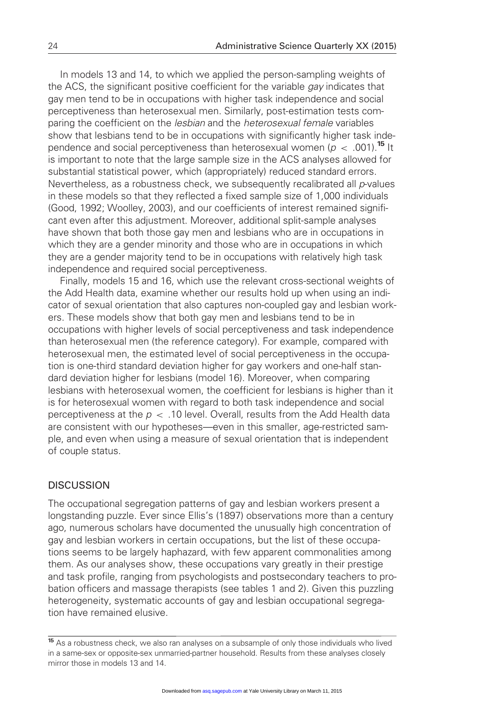In models 13 and 14, to which we applied the person-sampling weights of the ACS, the significant positive coefficient for the variable gay indicates that gay men tend to be in occupations with higher task independence and social perceptiveness than heterosexual men. Similarly, post-estimation tests comparing the coefficient on the lesbian and the heterosexual female variables show that lesbians tend to be in occupations with significantly higher task independence and social perceptiveness than heterosexual women ( $p < .001$ ).<sup>15</sup> It is important to note that the large sample size in the ACS analyses allowed for substantial statistical power, which (appropriately) reduced standard errors. Nevertheless, as a robustness check, we subsequently recalibrated all  $p$ -values in these models so that they reflected a fixed sample size of 1,000 individuals (Good, 1992; Woolley, 2003), and our coefficients of interest remained significant even after this adjustment. Moreover, additional split-sample analyses have shown that both those gay men and lesbians who are in occupations in which they are a gender minority and those who are in occupations in which they are a gender majority tend to be in occupations with relatively high task independence and required social perceptiveness.

Finally, models 15 and 16, which use the relevant cross-sectional weights of the Add Health data, examine whether our results hold up when using an indicator of sexual orientation that also captures non-coupled gay and lesbian workers. These models show that both gay men and lesbians tend to be in occupations with higher levels of social perceptiveness and task independence than heterosexual men (the reference category). For example, compared with heterosexual men, the estimated level of social perceptiveness in the occupation is one-third standard deviation higher for gay workers and one-half standard deviation higher for lesbians (model 16). Moreover, when comparing lesbians with heterosexual women, the coefficient for lesbians is higher than it is for heterosexual women with regard to both task independence and social perceptiveness at the  $p < 0.10$  level. Overall, results from the Add Health data are consistent with our hypotheses—even in this smaller, age-restricted sample, and even when using a measure of sexual orientation that is independent of couple status.

## **DISCUSSION**

The occupational segregation patterns of gay and lesbian workers present a longstanding puzzle. Ever since Ellis's (1897) observations more than a century ago, numerous scholars have documented the unusually high concentration of gay and lesbian workers in certain occupations, but the list of these occupations seems to be largely haphazard, with few apparent commonalities among them. As our analyses show, these occupations vary greatly in their prestige and task profile, ranging from psychologists and postsecondary teachers to probation officers and massage therapists (see tables 1 and 2). Given this puzzling heterogeneity, systematic accounts of gay and lesbian occupational segregation have remained elusive.

<sup>&</sup>lt;sup>15</sup> As a robustness check, we also ran analyses on a subsample of only those individuals who lived in a same-sex or opposite-sex unmarried-partner household. Results from these analyses closely mirror those in models 13 and 14.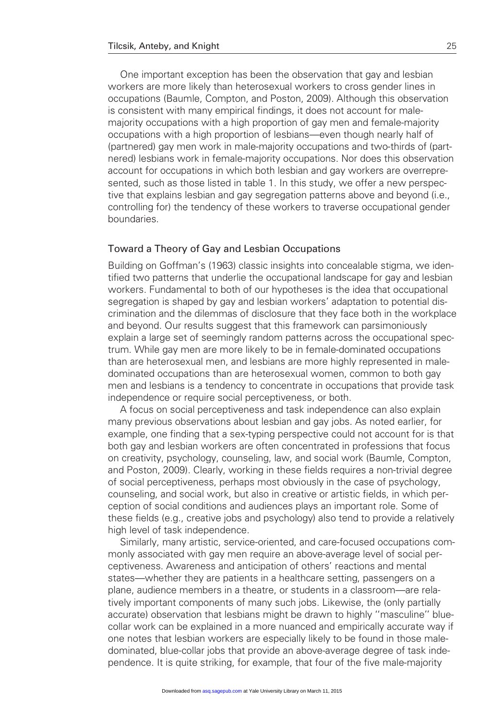One important exception has been the observation that gay and lesbian workers are more likely than heterosexual workers to cross gender lines in occupations (Baumle, Compton, and Poston, 2009). Although this observation is consistent with many empirical findings, it does not account for malemajority occupations with a high proportion of gay men and female-majority occupations with a high proportion of lesbians—even though nearly half of (partnered) gay men work in male-majority occupations and two-thirds of (partnered) lesbians work in female-majority occupations. Nor does this observation account for occupations in which both lesbian and gay workers are overrepresented, such as those listed in table 1. In this study, we offer a new perspective that explains lesbian and gay segregation patterns above and beyond (i.e., controlling for) the tendency of these workers to traverse occupational gender boundaries.

## Toward a Theory of Gay and Lesbian Occupations

Building on Goffman's (1963) classic insights into concealable stigma, we identified two patterns that underlie the occupational landscape for gay and lesbian workers. Fundamental to both of our hypotheses is the idea that occupational segregation is shaped by gay and lesbian workers' adaptation to potential discrimination and the dilemmas of disclosure that they face both in the workplace and beyond. Our results suggest that this framework can parsimoniously explain a large set of seemingly random patterns across the occupational spectrum. While gay men are more likely to be in female-dominated occupations than are heterosexual men, and lesbians are more highly represented in maledominated occupations than are heterosexual women, common to both gay men and lesbians is a tendency to concentrate in occupations that provide task independence or require social perceptiveness, or both.

A focus on social perceptiveness and task independence can also explain many previous observations about lesbian and gay jobs. As noted earlier, for example, one finding that a sex-typing perspective could not account for is that both gay and lesbian workers are often concentrated in professions that focus on creativity, psychology, counseling, law, and social work (Baumle, Compton, and Poston, 2009). Clearly, working in these fields requires a non-trivial degree of social perceptiveness, perhaps most obviously in the case of psychology, counseling, and social work, but also in creative or artistic fields, in which perception of social conditions and audiences plays an important role. Some of these fields (e.g., creative jobs and psychology) also tend to provide a relatively high level of task independence.

Similarly, many artistic, service-oriented, and care-focused occupations commonly associated with gay men require an above-average level of social perceptiveness. Awareness and anticipation of others' reactions and mental states—whether they are patients in a healthcare setting, passengers on a plane, audience members in a theatre, or students in a classroom—are relatively important components of many such jobs. Likewise, the (only partially accurate) observation that lesbians might be drawn to highly ''masculine'' bluecollar work can be explained in a more nuanced and empirically accurate way if one notes that lesbian workers are especially likely to be found in those maledominated, blue-collar jobs that provide an above-average degree of task independence. It is quite striking, for example, that four of the five male-majority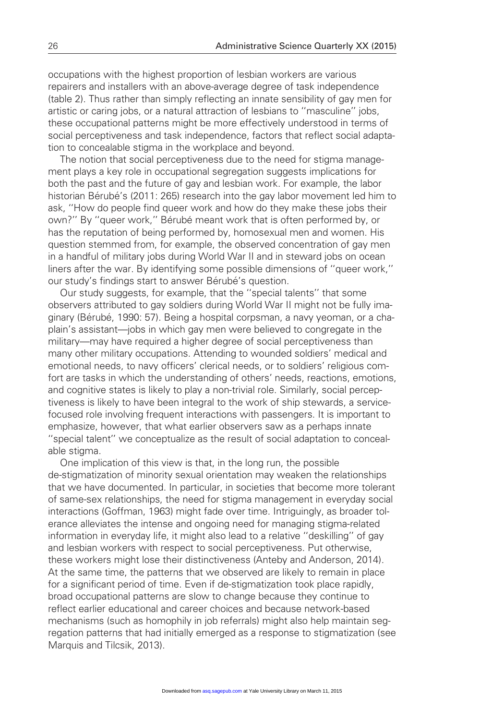occupations with the highest proportion of lesbian workers are various repairers and installers with an above-average degree of task independence (table 2). Thus rather than simply reflecting an innate sensibility of gay men for artistic or caring jobs, or a natural attraction of lesbians to ''masculine'' jobs, these occupational patterns might be more effectively understood in terms of social perceptiveness and task independence, factors that reflect social adaptation to concealable stigma in the workplace and beyond.

The notion that social perceptiveness due to the need for stigma management plays a key role in occupational segregation suggests implications for both the past and the future of gay and lesbian work. For example, the labor historian Bérubé's (2011: 265) research into the gay labor movement led him to ask, ''How do people find queer work and how do they make these jobs their own?" By "queer work," Bérubé meant work that is often performed by, or has the reputation of being performed by, homosexual men and women. His question stemmed from, for example, the observed concentration of gay men in a handful of military jobs during World War II and in steward jobs on ocean liners after the war. By identifying some possible dimensions of ''queer work,'' our study's findings start to answer Bérubé's question.

Our study suggests, for example, that the ''special talents'' that some observers attributed to gay soldiers during World War II might not be fully imaginary (Bérubé, 1990: 57). Being a hospital corpsman, a navy yeoman, or a chaplain's assistant—jobs in which gay men were believed to congregate in the military—may have required a higher degree of social perceptiveness than many other military occupations. Attending to wounded soldiers' medical and emotional needs, to navy officers' clerical needs, or to soldiers' religious comfort are tasks in which the understanding of others' needs, reactions, emotions, and cognitive states is likely to play a non-trivial role. Similarly, social perceptiveness is likely to have been integral to the work of ship stewards, a servicefocused role involving frequent interactions with passengers. It is important to emphasize, however, that what earlier observers saw as a perhaps innate ''special talent'' we conceptualize as the result of social adaptation to concealable stigma.

One implication of this view is that, in the long run, the possible de-stigmatization of minority sexual orientation may weaken the relationships that we have documented. In particular, in societies that become more tolerant of same-sex relationships, the need for stigma management in everyday social interactions (Goffman, 1963) might fade over time. Intriguingly, as broader tolerance alleviates the intense and ongoing need for managing stigma-related information in everyday life, it might also lead to a relative ''deskilling'' of gay and lesbian workers with respect to social perceptiveness. Put otherwise, these workers might lose their distinctiveness (Anteby and Anderson, 2014). At the same time, the patterns that we observed are likely to remain in place for a significant period of time. Even if de-stigmatization took place rapidly, broad occupational patterns are slow to change because they continue to reflect earlier educational and career choices and because network-based mechanisms (such as homophily in job referrals) might also help maintain segregation patterns that had initially emerged as a response to stigmatization (see Marquis and Tilcsik, 2013).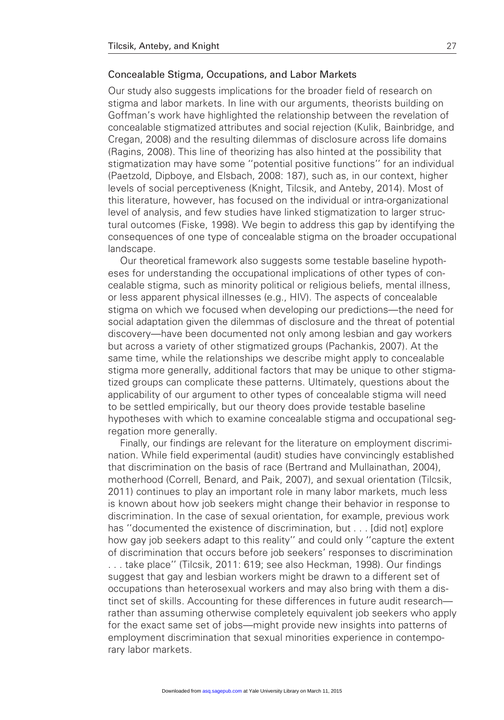#### Concealable Stigma, Occupations, and Labor Markets

Our study also suggests implications for the broader field of research on stigma and labor markets. In line with our arguments, theorists building on Goffman's work have highlighted the relationship between the revelation of concealable stigmatized attributes and social rejection (Kulik, Bainbridge, and Cregan, 2008) and the resulting dilemmas of disclosure across life domains (Ragins, 2008). This line of theorizing has also hinted at the possibility that stigmatization may have some ''potential positive functions'' for an individual (Paetzold, Dipboye, and Elsbach, 2008: 187), such as, in our context, higher levels of social perceptiveness (Knight, Tilcsik, and Anteby, 2014). Most of this literature, however, has focused on the individual or intra-organizational level of analysis, and few studies have linked stigmatization to larger structural outcomes (Fiske, 1998). We begin to address this gap by identifying the consequences of one type of concealable stigma on the broader occupational landscape.

Our theoretical framework also suggests some testable baseline hypotheses for understanding the occupational implications of other types of concealable stigma, such as minority political or religious beliefs, mental illness, or less apparent physical illnesses (e.g., HIV). The aspects of concealable stigma on which we focused when developing our predictions—the need for social adaptation given the dilemmas of disclosure and the threat of potential discovery—have been documented not only among lesbian and gay workers but across a variety of other stigmatized groups (Pachankis, 2007). At the same time, while the relationships we describe might apply to concealable stigma more generally, additional factors that may be unique to other stigmatized groups can complicate these patterns. Ultimately, questions about the applicability of our argument to other types of concealable stigma will need to be settled empirically, but our theory does provide testable baseline hypotheses with which to examine concealable stigma and occupational segregation more generally.

Finally, our findings are relevant for the literature on employment discrimination. While field experimental (audit) studies have convincingly established that discrimination on the basis of race (Bertrand and Mullainathan, 2004), motherhood (Correll, Benard, and Paik, 2007), and sexual orientation (Tilcsik, 2011) continues to play an important role in many labor markets, much less is known about how job seekers might change their behavior in response to discrimination. In the case of sexual orientation, for example, previous work has "documented the existence of discrimination, but . . . [did not] explore how gay job seekers adapt to this reality'' and could only ''capture the extent of discrimination that occurs before job seekers' responses to discrimination . . . take place'' (Tilcsik, 2011: 619; see also Heckman, 1998). Our findings suggest that gay and lesbian workers might be drawn to a different set of occupations than heterosexual workers and may also bring with them a distinct set of skills. Accounting for these differences in future audit research rather than assuming otherwise completely equivalent job seekers who apply for the exact same set of jobs—might provide new insights into patterns of employment discrimination that sexual minorities experience in contemporary labor markets.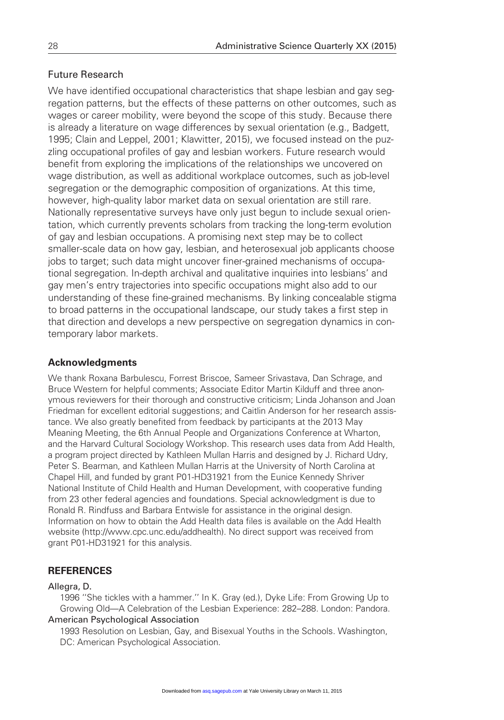## Future Research

We have identified occupational characteristics that shape lesbian and gay segregation patterns, but the effects of these patterns on other outcomes, such as wages or career mobility, were beyond the scope of this study. Because there is already a literature on wage differences by sexual orientation (e.g., Badgett, 1995; Clain and Leppel, 2001; Klawitter, 2015), we focused instead on the puzzling occupational profiles of gay and lesbian workers. Future research would benefit from exploring the implications of the relationships we uncovered on wage distribution, as well as additional workplace outcomes, such as job-level segregation or the demographic composition of organizations. At this time, however, high-quality labor market data on sexual orientation are still rare. Nationally representative surveys have only just begun to include sexual orientation, which currently prevents scholars from tracking the long-term evolution of gay and lesbian occupations. A promising next step may be to collect smaller-scale data on how gay, lesbian, and heterosexual job applicants choose jobs to target; such data might uncover finer-grained mechanisms of occupational segregation. In-depth archival and qualitative inquiries into lesbians' and gay men's entry trajectories into specific occupations might also add to our understanding of these fine-grained mechanisms. By linking concealable stigma to broad patterns in the occupational landscape, our study takes a first step in that direction and develops a new perspective on segregation dynamics in contemporary labor markets.

## Acknowledgments

We thank Roxana Barbulescu, Forrest Briscoe, Sameer Srivastava, Dan Schrage, and Bruce Western for helpful comments; Associate Editor Martin Kilduff and three anonymous reviewers for their thorough and constructive criticism; Linda Johanson and Joan Friedman for excellent editorial suggestions; and Caitlin Anderson for her research assistance. We also greatly benefited from feedback by participants at the 2013 May Meaning Meeting, the 6th Annual People and Organizations Conference at Wharton, and the Harvard Cultural Sociology Workshop. This research uses data from Add Health, a program project directed by Kathleen Mullan Harris and designed by J. Richard Udry, Peter S. Bearman, and Kathleen Mullan Harris at the University of North Carolina at Chapel Hill, and funded by grant P01-HD31921 from the Eunice Kennedy Shriver National Institute of Child Health and Human Development, with cooperative funding from 23 other federal agencies and foundations. Special acknowledgment is due to Ronald R. Rindfuss and Barbara Entwisle for assistance in the original design. Information on how to obtain the Add Health data files is available on the Add Health website (http://www.cpc.unc.edu/addhealth). No direct support was received from grant P01-HD31921 for this analysis.

## **REFERENCES**

## Allegra, D.

1996 ''She tickles with a hammer.'' In K. Gray (ed.), Dyke Life: From Growing Up to Growing Old—A Celebration of the Lesbian Experience: 282–288. London: Pandora. American Psychological Association

1993 Resolution on Lesbian, Gay, and Bisexual Youths in the Schools. Washington, DC: American Psychological Association.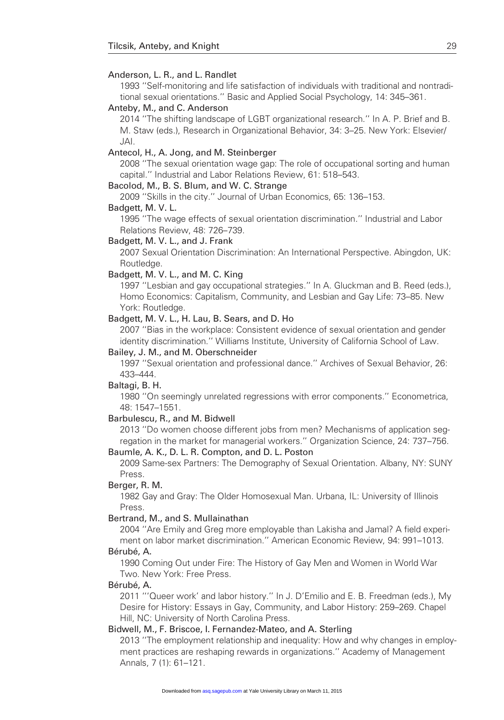#### Anderson, L. R., and L. Randlet

1993 ''Self-monitoring and life satisfaction of individuals with traditional and nontraditional sexual orientations.'' Basic and Applied Social Psychology, 14: 345–361.

#### Anteby, M., and C. Anderson

2014 ''The shifting landscape of LGBT organizational research.'' In A. P. Brief and B. M. Staw (eds.), Research in Organizational Behavior, 34: 3–25. New York: Elsevier/ JAI.

#### Antecol, H., A. Jong, and M. Steinberger

2008 ''The sexual orientation wage gap: The role of occupational sorting and human capital.'' Industrial and Labor Relations Review, 61: 518–543.

## Bacolod, M., B. S. Blum, and W. C. Strange

2009 ''Skills in the city.'' Journal of Urban Economics, 65: 136–153.

#### Badgett, M. V. L.

1995 ''The wage effects of sexual orientation discrimination.'' Industrial and Labor Relations Review, 48: 726–739.

## Badgett, M. V. L., and J. Frank

2007 Sexual Orientation Discrimination: An International Perspective. Abingdon, UK: Routledge.

## Badgett, M. V. L., and M. C. King

1997 ''Lesbian and gay occupational strategies.'' In A. Gluckman and B. Reed (eds.), Homo Economics: Capitalism, Community, and Lesbian and Gay Life: 73–85. New York: Routledge.

#### Badgett, M. V. L., H. Lau, B. Sears, and D. Ho

2007 ''Bias in the workplace: Consistent evidence of sexual orientation and gender identity discrimination.'' Williams Institute, University of California School of Law.

#### Bailey, J. M., and M. Oberschneider

1997 ''Sexual orientation and professional dance.'' Archives of Sexual Behavior, 26: 433–444.

#### Baltagi, B. H.

1980 ''On seemingly unrelated regressions with error components.'' Econometrica, 48: 1547–1551.

## Barbulescu, R., and M. Bidwell

2013 ''Do women choose different jobs from men? Mechanisms of application segregation in the market for managerial workers.'' Organization Science, 24: 737–756.

## Baumle, A. K., D. L. R. Compton, and D. L. Poston

2009 Same-sex Partners: The Demography of Sexual Orientation. Albany, NY: SUNY Press.

## Berger, R. M.

1982 Gay and Gray: The Older Homosexual Man. Urbana, IL: University of Illinois Press.

#### Bertrand, M., and S. Mullainathan

2004 ''Are Emily and Greg more employable than Lakisha and Jamal? A field experiment on labor market discrimination.'' American Economic Review, 94: 991–1013.

#### Bérubé, A.

1990 Coming Out under Fire: The History of Gay Men and Women in World War Two. New York: Free Press.

## Bérubé, A.

2011 '''Queer work' and labor history.'' In J. D'Emilio and E. B. Freedman (eds.), My Desire for History: Essays in Gay, Community, and Labor History: 259–269. Chapel Hill, NC: University of North Carolina Press.

#### Bidwell, M., F. Briscoe, I. Fernandez-Mateo, and A. Sterling

2013 ''The employment relationship and inequality: How and why changes in employment practices are reshaping rewards in organizations.'' Academy of Management Annals, 7 (1): 61–121.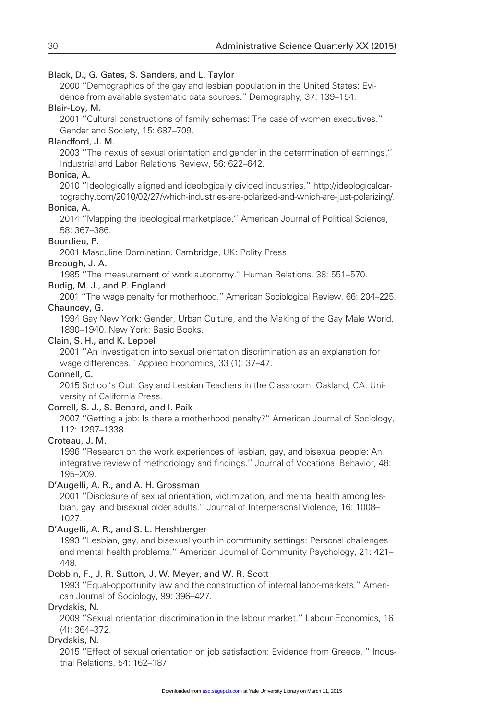## Black, D., G. Gates, S. Sanders, and L. Taylor

2000 ''Demographics of the gay and lesbian population in the United States: Evidence from available systematic data sources.'' Demography, 37: 139–154.

#### Blair-Loy, M.

2001 ''Cultural constructions of family schemas: The case of women executives.'' Gender and Society, 15: 687–709.

## Blandford, J. M.

2003 ''The nexus of sexual orientation and gender in the determination of earnings.'' Industrial and Labor Relations Review, 56: 622–642.

#### Bonica, A.

2010 ''Ideologically aligned and ideologically divided industries.'' http://ideologicalcartography.com/2010/02/27/which-industries-are-polarized-and-which-are-just-polarizing/.

## Bonica, A.

2014 ''Mapping the ideological marketplace.'' American Journal of Political Science, 58: 367–386.

## Bourdieu, P.

2001 Masculine Domination. Cambridge, UK: Polity Press.

#### Breaugh, J. A.

1985 ''The measurement of work autonomy.'' Human Relations, 38: 551–570.

## Budig, M. J., and P. England

2001 ''The wage penalty for motherhood.'' American Sociological Review, 66: 204–225. Chauncey, G.

1994 Gay New York: Gender, Urban Culture, and the Making of the Gay Male World, 1890–1940. New York: Basic Books.

## Clain, S. H., and K. Leppel

2001 ''An investigation into sexual orientation discrimination as an explanation for wage differences.'' Applied Economics, 33 (1): 37–47.

## Connell, C.

2015 School's Out: Gay and Lesbian Teachers in the Classroom. Oakland, CA: University of California Press.

## Correll, S. J., S. Benard, and I. Paik

2007 ''Getting a job: Is there a motherhood penalty?'' American Journal of Sociology, 112: 1297–1338.

#### Croteau, J. M.

1996 ''Research on the work experiences of lesbian, gay, and bisexual people: An integrative review of methodology and findings.'' Journal of Vocational Behavior, 48: 195–209.

## D'Augelli, A. R., and A. H. Grossman

2001 ''Disclosure of sexual orientation, victimization, and mental health among lesbian, gay, and bisexual older adults.'' Journal of Interpersonal Violence, 16: 1008– 1027.

## D'Augelli, A. R., and S. L. Hershberger

1993 ''Lesbian, gay, and bisexual youth in community settings: Personal challenges and mental health problems.'' American Journal of Community Psychology, 21: 421– 448.

## Dobbin, F., J. R. Sutton, J. W. Meyer, and W. R. Scott

1993 ''Equal-opportunity law and the construction of internal labor-markets.'' American Journal of Sociology, 99: 396–427.

## Drydakis, N.

2009 ''Sexual orientation discrimination in the labour market.'' Labour Economics, 16 (4): 364–372.

## Drydakis, N.

2015 ''Effect of sexual orientation on job satisfaction: Evidence from Greece. '' Industrial Relations, 54: 162–187.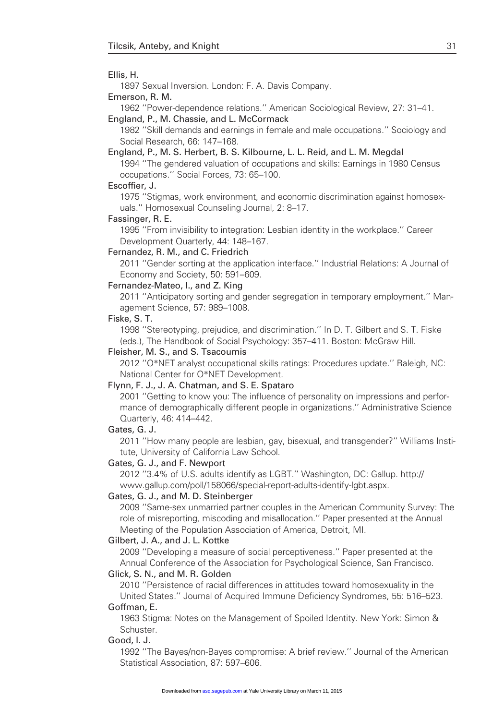#### Ellis, H.

1897 Sexual Inversion. London: F. A. Davis Company.

Emerson, R. M.

1962 ''Power-dependence relations.'' American Sociological Review, 27: 31–41.

## England, P., M. Chassie, and L. McCormack

1982 ''Skill demands and earnings in female and male occupations.'' Sociology and Social Research, 66: 147–168.

## England, P., M. S. Herbert, B. S. Kilbourne, L. L. Reid, and L. M. Megdal

1994 ''The gendered valuation of occupations and skills: Earnings in 1980 Census occupations.'' Social Forces, 73: 65–100.

## Escoffier, J.

1975 ''Stigmas, work environment, and economic discrimination against homosexuals.'' Homosexual Counseling Journal, 2: 8–17.

#### Fassinger, R. E.

1995 ''From invisibility to integration: Lesbian identity in the workplace.'' Career Development Quarterly, 44: 148–167.

#### Fernandez, R. M., and C. Friedrich

2011 ''Gender sorting at the application interface.'' Industrial Relations: A Journal of Economy and Society, 50: 591–609.

#### Fernandez-Mateo, I., and Z. King

2011 ''Anticipatory sorting and gender segregation in temporary employment.'' Management Science, 57: 989–1008.

#### Fiske, S. T.

1998 ''Stereotyping, prejudice, and discrimination.'' In D. T. Gilbert and S. T. Fiske (eds.), The Handbook of Social Psychology: 357–411. Boston: McGraw Hill.

#### Fleisher, M. S., and S. Tsacoumis

2012 ''O\*NET analyst occupational skills ratings: Procedures update.'' Raleigh, NC: National Center for O\*NET Development.

#### Flynn, F. J., J. A. Chatman, and S. E. Spataro

2001 ''Getting to know you: The influence of personality on impressions and performance of demographically different people in organizations.'' Administrative Science Quarterly, 46: 414–442.

#### Gates, G. J.

2011 ''How many people are lesbian, gay, bisexual, and transgender?'' Williams Institute, University of California Law School.

#### Gates, G. J., and F. Newport

2012 ''3.4% of U.S. adults identify as LGBT.'' Washington, DC: Gallup. http:// www.gallup.com/poll/158066/special-report-adults-identify-lgbt.aspx.

#### Gates, G. J., and M. D. Steinberger

2009 ''Same-sex unmarried partner couples in the American Community Survey: The role of misreporting, miscoding and misallocation.'' Paper presented at the Annual Meeting of the Population Association of America, Detroit, MI.

#### Gilbert, J. A., and J. L. Kottke

2009 ''Developing a measure of social perceptiveness.'' Paper presented at the Annual Conference of the Association for Psychological Science, San Francisco.

#### Glick, S. N., and M. R. Golden

2010 ''Persistence of racial differences in attitudes toward homosexuality in the United States.'' Journal of Acquired Immune Deficiency Syndromes, 55: 516–523.

## Goffman, E.

1963 Stigma: Notes on the Management of Spoiled Identity. New York: Simon & Schuster.

#### Good, I. J.

1992 ''The Bayes/non-Bayes compromise: A brief review.'' Journal of the American Statistical Association, 87: 597–606.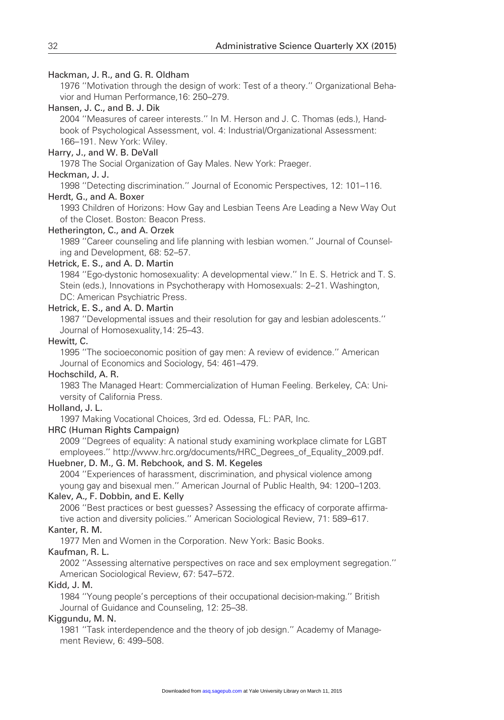## Hackman, J. R., and G. R. Oldham

1976 ''Motivation through the design of work: Test of a theory.'' Organizational Behavior and Human Performance,16: 250–279.

#### Hansen, J. C., and B. J. Dik

2004 ''Measures of career interests.'' In M. Herson and J. C. Thomas (eds.), Handbook of Psychological Assessment, vol. 4: Industrial/Organizational Assessment: 166–191. New York: Wiley.

#### Harry, J., and W. B. DeVall

1978 The Social Organization of Gay Males. New York: Praeger.

## Heckman, J. J.

1998 ''Detecting discrimination.'' Journal of Economic Perspectives, 12: 101–116.

## Herdt, G., and A. Boxer

1993 Children of Horizons: How Gay and Lesbian Teens Are Leading a New Way Out of the Closet. Boston: Beacon Press.

## Hetherington, C., and A. Orzek

1989 ''Career counseling and life planning with lesbian women.'' Journal of Counseling and Development, 68: 52–57.

#### Hetrick, E. S., and A. D. Martin

1984 ''Ego-dystonic homosexuality: A developmental view.'' In E. S. Hetrick and T. S. Stein (eds.), Innovations in Psychotherapy with Homosexuals: 2–21. Washington, DC: American Psychiatric Press.

#### Hetrick, E. S., and A. D. Martin

1987 ''Developmental issues and their resolution for gay and lesbian adolescents.'' Journal of Homosexuality,14: 25–43.

#### Hewitt, C.

1995 ''The socioeconomic position of gay men: A review of evidence.'' American Journal of Economics and Sociology, 54: 461–479.

#### Hochschild, A. R.

1983 The Managed Heart: Commercialization of Human Feeling. Berkeley, CA: University of California Press.

## Holland, J. L.

1997 Making Vocational Choices, 3rd ed. Odessa, FL: PAR, Inc.

## HRC (Human Rights Campaign)

2009 ''Degrees of equality: A national study examining workplace climate for LGBT employees.'' http://www.hrc.org/documents/HRC\_Degrees\_of\_Equality\_2009.pdf.

## Huebner, D. M., G. M. Rebchook, and S. M. Kegeles

2004 ''Experiences of harassment, discrimination, and physical violence among young gay and bisexual men.'' American Journal of Public Health, 94: 1200–1203.

#### Kalev, A., F. Dobbin, and E. Kelly

2006 ''Best practices or best guesses? Assessing the efficacy of corporate affirmative action and diversity policies.'' American Sociological Review, 71: 589–617.

## Kanter, R. M.

1977 Men and Women in the Corporation. New York: Basic Books.

## Kaufman, R. L.

2002 ''Assessing alternative perspectives on race and sex employment segregation.'' American Sociological Review, 67: 547–572.

#### Kidd, J. M.

1984 ''Young people's perceptions of their occupational decision-making.'' British Journal of Guidance and Counseling, 12: 25–38.

#### Kiggundu, M. N.

1981 ''Task interdependence and the theory of job design.'' Academy of Management Review, 6: 499–508.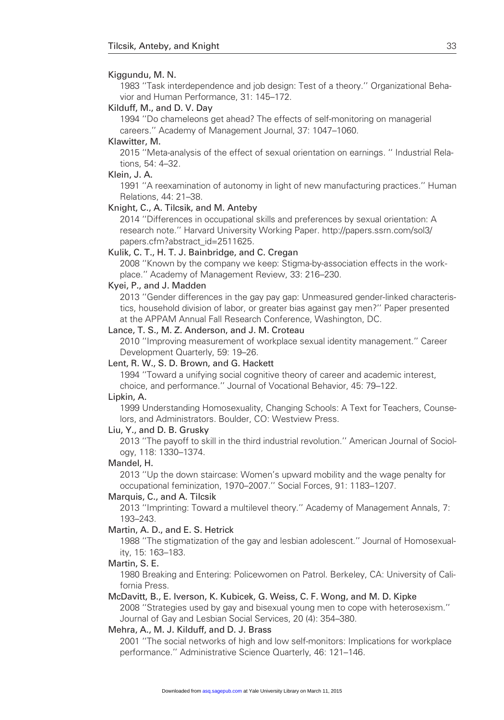#### Kiggundu, M. N.

1983 ''Task interdependence and job design: Test of a theory.'' Organizational Behavior and Human Performance, 31: 145–172.

## Kilduff, M., and D. V. Day

1994 ''Do chameleons get ahead? The effects of self-monitoring on managerial careers.'' Academy of Management Journal, 37: 1047–1060.

#### Klawitter, M.

2015 ''Meta-analysis of the effect of sexual orientation on earnings. '' Industrial Relations, 54: 4–32.

#### Klein, J. A.

1991 ''A reexamination of autonomy in light of new manufacturing practices.'' Human Relations, 44: 21–38.

## Knight, C., A. Tilcsik, and M. Anteby

2014 ''Differences in occupational skills and preferences by sexual orientation: A research note.'' Harvard University Working Paper. http://papers.ssrn.com/sol3/ papers.cfm?abstract\_id=2511625.

## Kulik, C. T., H. T. J. Bainbridge, and C. Cregan

2008 ''Known by the company we keep: Stigma-by-association effects in the workplace.'' Academy of Management Review, 33: 216–230.

#### Kyei, P., and J. Madden

2013 ''Gender differences in the gay pay gap: Unmeasured gender-linked characteristics, household division of labor, or greater bias against gay men?'' Paper presented at the APPAM Annual Fall Research Conference, Washington, DC.

#### Lance, T. S., M. Z. Anderson, and J. M. Croteau

2010 ''Improving measurement of workplace sexual identity management.'' Career Development Quarterly, 59: 19–26.

## Lent, R. W., S. D. Brown, and G. Hackett

1994 ''Toward a unifying social cognitive theory of career and academic interest, choice, and performance.'' Journal of Vocational Behavior, 45: 79–122.

## Lipkin, A.

1999 Understanding Homosexuality, Changing Schools: A Text for Teachers, Counselors, and Administrators. Boulder, CO: Westview Press.

## Liu, Y., and D. B. Grusky

2013 ''The payoff to skill in the third industrial revolution.'' American Journal of Sociology, 118: 1330–1374.

## Mandel, H.

2013 ''Up the down staircase: Women's upward mobility and the wage penalty for occupational feminization, 1970–2007.'' Social Forces, 91: 1183–1207.

## Marquis, C., and A. Tilcsik

2013 ''Imprinting: Toward a multilevel theory.'' Academy of Management Annals, 7: 193–243.

## Martin, A. D., and E. S. Hetrick

1988 ''The stigmatization of the gay and lesbian adolescent.'' Journal of Homosexuality, 15: 163–183.

#### Martin, S. E.

1980 Breaking and Entering: Policewomen on Patrol. Berkeley, CA: University of California Press.

#### McDavitt, B., E. Iverson, K. Kubicek, G. Weiss, C. F. Wong, and M. D. Kipke

2008 ''Strategies used by gay and bisexual young men to cope with heterosexism.'' Journal of Gay and Lesbian Social Services, 20 (4): 354–380.

#### Mehra, A., M. J. Kilduff, and D. J. Brass

2001 ''The social networks of high and low self-monitors: Implications for workplace performance.'' Administrative Science Quarterly, 46: 121–146.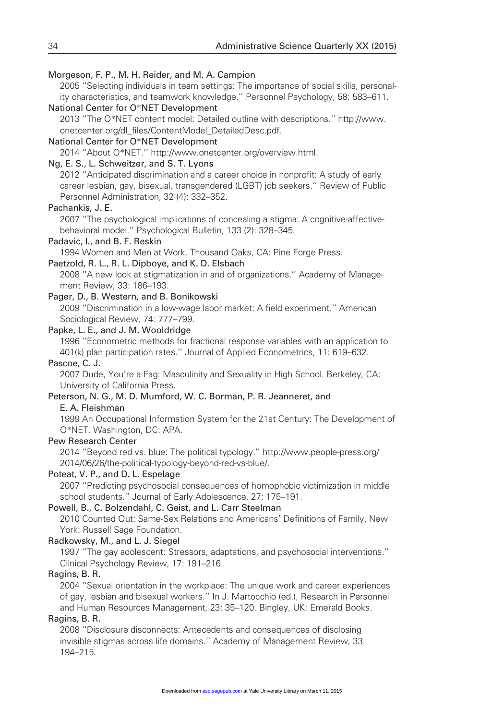## Morgeson, F. P., M. H. Reider, and M. A. Campion

2005 ''Selecting individuals in team settings: The importance of social skills, personality characteristics, and teamwork knowledge.'' Personnel Psychology, 58: 583–611.

## National Center for O\*NET Development

2013 ''The O\*NET content model: Detailed outline with descriptions.'' http://www. onetcenter.org/dl\_files/ContentModel\_DetailedDesc.pdf.

#### National Center for O\*NET Development

2014 ''About O\*NET.'' http://www.onetcenter.org/overview.html.

## Ng, E. S., L. Schweitzer, and S. T. Lyons

2012 ''Anticipated discrimination and a career choice in nonprofit: A study of early career lesbian, gay, bisexual, transgendered (LGBT) job seekers.'' Review of Public Personnel Administration, 32 (4): 332–352.

## Pachankis, J. E.

2007 ''The psychological implications of concealing a stigma: A cognitive-affectivebehavioral model.'' Psychological Bulletin, 133 (2): 328–345.

## Padavic, I., and B. F. Reskin

1994 Women and Men at Work. Thousand Oaks, CA: Pine Forge Press.

#### Paetzold, R. L., R. L. Dipboye, and K. D. Elsbach

2008 ''A new look at stigmatization in and of organizations.'' Academy of Management Review, 33: 186–193.

## Pager, D., B. Western, and B. Bonikowski

2009 ''Discrimination in a low-wage labor market: A field experiment.'' American Sociological Review, 74: 777–799.

## Papke, L. E., and J. M. Wooldridge

1996 ''Econometric methods for fractional response variables with an application to 401(k) plan participation rates.'' Journal of Applied Econometrics, 11: 619–632.

## Pascoe, C. J.

2007 Dude, You're a Fag: Masculinity and Sexuality in High School. Berkeley, CA: University of California Press.

# Peterson, N. G., M. D. Mumford, W. C. Borman, P. R. Jeanneret, and

## E. A. Fleishman

1999 An Occupational Information System for the 21st Century: The Development of O\*NET. Washington, DC: APA.

## Pew Research Center

2014 ''Beyond red vs. blue: The political typology.'' http://www.people-press.org/ 2014/06/26/the-political-typology-beyond-red-vs-blue/.

## Poteat, V. P., and D. L. Espelage

2007 ''Predicting psychosocial consequences of homophobic victimization in middle school students.'' Journal of Early Adolescence, 27: 175–191.

## Powell, B., C. Bolzendahl, C. Geist, and L. Carr Steelman

2010 Counted Out: Same-Sex Relations and Americans' Definitions of Family. New York: Russell Sage Foundation.

#### Radkowsky, M., and L. J. Siegel

1997 ''The gay adolescent: Stressors, adaptations, and psychosocial interventions.'' Clinical Psychology Review, 17: 191–216.

## Ragins, B. R.

2004 ''Sexual orientation in the workplace: The unique work and career experiences of gay, lesbian and bisexual workers.'' In J. Martocchio (ed.), Research in Personnel and Human Resources Management, 23: 35–120. Bingley, UK: Emerald Books.

## Ragins, B. R.

2008 ''Disclosure disconnects: Antecedents and consequences of disclosing invisible stigmas across life domains.'' Academy of Management Review, 33: 194–215.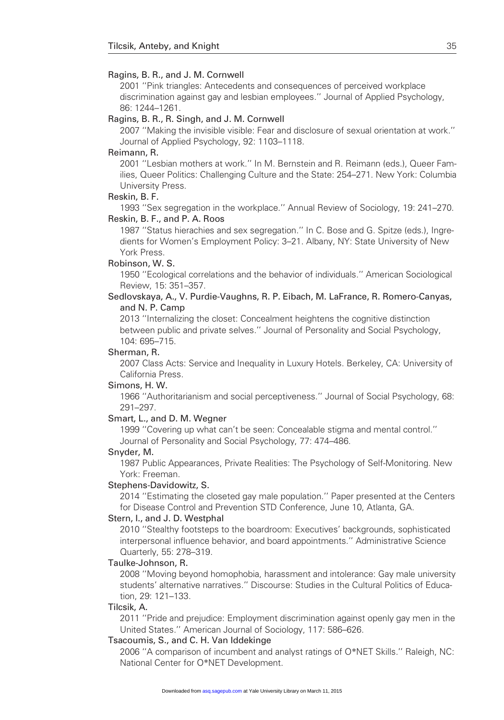#### Ragins, B. R., and J. M. Cornwell

2001 ''Pink triangles: Antecedents and consequences of perceived workplace discrimination against gay and lesbian employees.'' Journal of Applied Psychology, 86: 1244–1261.

#### Ragins, B. R., R. Singh, and J. M. Cornwell

2007 ''Making the invisible visible: Fear and disclosure of sexual orientation at work.'' Journal of Applied Psychology, 92: 1103–1118.

#### Reimann, R.

2001 ''Lesbian mothers at work.'' In M. Bernstein and R. Reimann (eds.), Queer Families, Queer Politics: Challenging Culture and the State: 254–271. New York: Columbia University Press.

#### Reskin, B. F.

1993 ''Sex segregation in the workplace.'' Annual Review of Sociology, 19: 241–270. Reskin, B. F., and P. A. Roos

1987 ''Status hierachies and sex segregation.'' In C. Bose and G. Spitze (eds.), Ingredients for Women's Employment Policy: 3–21. Albany, NY: State University of New York Press.

#### Robinson, W. S.

1950 ''Ecological correlations and the behavior of individuals.'' American Sociological Review, 15: 351–357.

## Sedlovskaya, A., V. Purdie-Vaughns, R. P. Eibach, M. LaFrance, R. Romero-Canyas, and N. P. Camp

2013 ''Internalizing the closet: Concealment heightens the cognitive distinction between public and private selves.'' Journal of Personality and Social Psychology, 104: 695–715.

#### Sherman, R.

2007 Class Acts: Service and Inequality in Luxury Hotels. Berkeley, CA: University of California Press.

#### Simons, H. W.

1966 ''Authoritarianism and social perceptiveness.'' Journal of Social Psychology, 68: 291–297.

#### Smart, L., and D. M. Wegner

1999 ''Covering up what can't be seen: Concealable stigma and mental control.'' Journal of Personality and Social Psychology, 77: 474–486.

#### Snyder, M.

1987 Public Appearances, Private Realities: The Psychology of Self-Monitoring. New York: Freeman.

## Stephens-Davidowitz, S.

2014 ''Estimating the closeted gay male population.'' Paper presented at the Centers for Disease Control and Prevention STD Conference, June 10, Atlanta, GA.

#### Stern, I., and J. D. Westphal

2010 ''Stealthy footsteps to the boardroom: Executives' backgrounds, sophisticated interpersonal influence behavior, and board appointments.'' Administrative Science Quarterly, 55: 278–319.

#### Taulke-Johnson, R.

2008 ''Moving beyond homophobia, harassment and intolerance: Gay male university students' alternative narratives.'' Discourse: Studies in the Cultural Politics of Education, 29: 121–133.

#### Tilcsik, A.

2011 ''Pride and prejudice: Employment discrimination against openly gay men in the United States.'' American Journal of Sociology, 117: 586–626.

#### Tsacoumis, S., and C. H. Van Iddekinge

2006 ''A comparison of incumbent and analyst ratings of O\*NET Skills.'' Raleigh, NC: National Center for O\*NET Development.